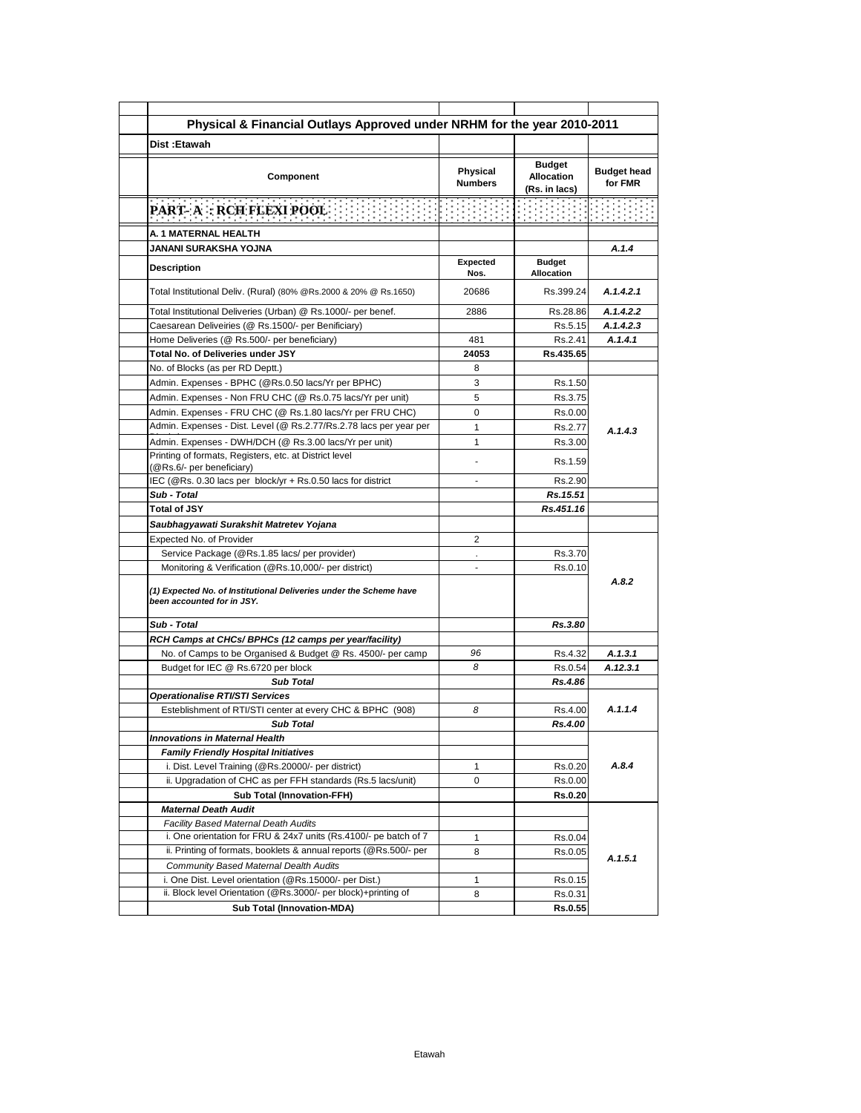| Physical & Financial Outlays Approved under NRHM for the year 2010-2011                          |                            |                                                     |                               |
|--------------------------------------------------------------------------------------------------|----------------------------|-----------------------------------------------------|-------------------------------|
| Dist: Etawah                                                                                     |                            |                                                     |                               |
| Component                                                                                        | Physical<br><b>Numbers</b> | <b>Budget</b><br><b>Allocation</b><br>(Rs. in lacs) | <b>Budget head</b><br>for FMR |
| <b>PART- A: RCH FLEXI POOL</b>                                                                   |                            |                                                     |                               |
| A. 1 MATERNAL HEALTH                                                                             |                            |                                                     |                               |
| JANANI SURAKSHA YOJNA                                                                            |                            |                                                     | A.1.4                         |
| <b>Description</b>                                                                               | Expected<br>Nos.           | <b>Budget</b><br><b>Allocation</b>                  |                               |
| Total Institutional Deliv. (Rural) (80% @Rs.2000 & 20% @ Rs.1650)                                | 20686                      | Rs.399.24                                           | A.1.4.2.1                     |
| Total Institutional Deliveries (Urban) @ Rs.1000/- per benef.                                    | 2886                       | Rs.28.86                                            | A.1.4.2.2                     |
| Caesarean Deliveiries (@ Rs.1500/- per Benificiary)                                              |                            | Rs.5.15                                             | A.1.4.2.3                     |
| Home Deliveries (@ Rs.500/- per beneficiary)                                                     | 481                        | Rs.2.41                                             | A.1.4.1                       |
| Total No. of Deliveries under JSY                                                                | 24053                      | Rs.435.65                                           |                               |
| No. of Blocks (as per RD Deptt.)                                                                 | 8                          |                                                     |                               |
| Admin. Expenses - BPHC (@Rs.0.50 lacs/Yr per BPHC)                                               | 3                          | Rs.1.50                                             |                               |
| Admin. Expenses - Non FRU CHC (@ Rs.0.75 lacs/Yr per unit)                                       | 5                          | Rs.3.75                                             |                               |
| Admin. Expenses - FRU CHC (@ Rs.1.80 lacs/Yr per FRU CHC)                                        | $\Omega$                   | Rs.0.00                                             |                               |
| Admin. Expenses - Dist. Level (@ Rs.2.77/Rs.2.78 lacs per year per                               | $\mathbf{1}$               | Rs.2.77                                             | A.1.4.3                       |
| Admin. Expenses - DWH/DCH (@ Rs.3.00 lacs/Yr per unit)                                           | 1                          | Rs.3.00                                             |                               |
| Printing of formats, Registers, etc. at District level<br>(@Rs.6/- per beneficiary)              |                            | Rs.1.59                                             |                               |
| IEC (@Rs. 0.30 lacs per block/yr + Rs.0.50 lacs for district                                     | ٠                          | Rs.2.90                                             |                               |
| Sub - Total                                                                                      |                            | Rs.15.51                                            |                               |
| <b>Total of JSY</b>                                                                              |                            | Rs.451.16                                           |                               |
| Saubhagyawati Surakshit Matretev Yojana                                                          |                            |                                                     |                               |
| Expected No. of Provider                                                                         | 2                          |                                                     |                               |
| Service Package (@Rs.1.85 lacs/ per provider)                                                    |                            | Rs.3.70                                             |                               |
| Monitoring & Verification (@Rs.10,000/- per district)                                            | $\overline{a}$             | Rs.0.10                                             |                               |
| (1) Expected No. of Institutional Deliveries under the Scheme have<br>been accounted for in JSY. |                            |                                                     | A.8.2                         |
| Sub - Total                                                                                      |                            | Rs.3.80                                             |                               |
| RCH Camps at CHCs/ BPHCs (12 camps per year/facility)                                            |                            |                                                     |                               |
| No. of Camps to be Organised & Budget @ Rs. 4500/- per camp                                      | 96                         | Rs.4.32                                             | A.1.3.1                       |
| Budget for IEC @ Rs.6720 per block                                                               | 8                          | Rs.0.54                                             | A.12.3.1                      |
| <b>Sub Total</b>                                                                                 |                            | Rs.4.86                                             |                               |
| <b>Operationalise RTI/STI Services</b>                                                           |                            |                                                     |                               |
| Esteblishment of RTI/STI center at every CHC & BPHC (908)                                        | 8                          | Rs.4.00                                             | A.1.1.4                       |
| <b>Sub Total</b>                                                                                 |                            | Rs.4.00                                             |                               |
| <b>Innovations in Maternal Health</b>                                                            |                            |                                                     |                               |
| <b>Family Friendly Hospital Initiatives</b>                                                      |                            |                                                     |                               |
| i. Dist. Level Training (@Rs.20000/- per district)                                               | 1                          | Rs.0.20                                             | A.8.4                         |
| ii. Upgradation of CHC as per FFH standards (Rs.5 lacs/unit)                                     | $\mathbf 0$                | Rs.0.00                                             |                               |
| <b>Sub Total (Innovation-FFH)</b>                                                                |                            | <b>Rs.0.20</b>                                      |                               |
| <b>Maternal Death Audit</b>                                                                      |                            |                                                     |                               |
| Facility Based Maternal Death Audits                                                             |                            |                                                     |                               |
| i. One orientation for FRU & 24x7 units (Rs.4100/- pe batch of 7                                 | 1                          | Rs.0.04                                             |                               |
| ii. Printing of formats, booklets & annual reports (@Rs.500/- per                                | 8                          | Rs.0.05                                             | A.1.5.1                       |
| Community Based Maternal Dealth Audits                                                           |                            |                                                     |                               |
| i. One Dist. Level orientation (@Rs.15000/- per Dist.)                                           | 1                          | Rs.0.15                                             |                               |
| ii. Block level Orientation (@Rs.3000/- per block)+printing of                                   | 8                          | Rs.0.31                                             |                               |
| <b>Sub Total (Innovation-MDA)</b>                                                                |                            | <b>Rs.0.55</b>                                      |                               |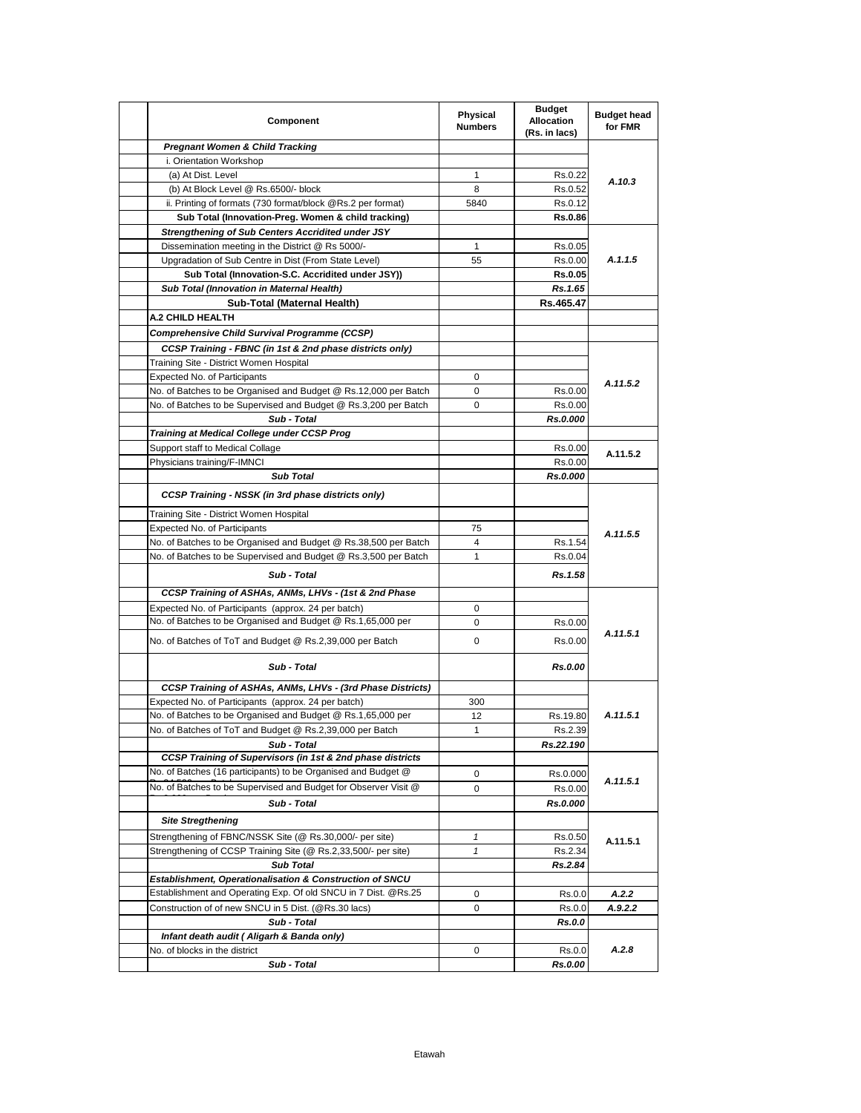| Component                                                                                                          | Physical<br><b>Numbers</b> | <b>Budget</b><br><b>Allocation</b><br>(Rs. in lacs) | <b>Budget head</b><br>for FMR |
|--------------------------------------------------------------------------------------------------------------------|----------------------------|-----------------------------------------------------|-------------------------------|
| <b>Pregnant Women &amp; Child Tracking</b>                                                                         |                            |                                                     |                               |
| i. Orientation Workshop                                                                                            |                            |                                                     |                               |
| (a) At Dist. Level                                                                                                 | $\mathbf{1}$               | Rs.0.22                                             | A.10.3                        |
| (b) At Block Level @ Rs.6500/- block                                                                               | 8                          | Rs.0.52                                             |                               |
| ii. Printing of formats (730 format/block @Rs.2 per format)                                                        | 5840                       | Rs.0.12                                             |                               |
| Sub Total (Innovation-Preg. Women & child tracking)                                                                |                            | Rs.0.86                                             |                               |
| <b>Strengthening of Sub Centers Accridited under JSY</b>                                                           |                            |                                                     |                               |
| Dissemination meeting in the District @ Rs 5000/-                                                                  | 1                          | Rs.0.05                                             |                               |
| Upgradation of Sub Centre in Dist (From State Level)                                                               | 55                         | Rs.0.00                                             | A.1.1.5                       |
| Sub Total (Innovation-S.C. Accridited under JSY))                                                                  |                            | <b>Rs.0.05</b>                                      |                               |
| Sub Total (Innovation in Maternal Health)                                                                          |                            | Rs.1.65                                             |                               |
| Sub-Total (Maternal Health)                                                                                        |                            | Rs.465.47                                           |                               |
| <b>A.2 CHILD HEALTH</b>                                                                                            |                            |                                                     |                               |
| Comprehensive Child Survival Programme (CCSP)                                                                      |                            |                                                     |                               |
| CCSP Training - FBNC (in 1st & 2nd phase districts only)                                                           |                            |                                                     |                               |
| Training Site - District Women Hospital                                                                            |                            |                                                     |                               |
| Expected No. of Participants                                                                                       | 0                          |                                                     |                               |
| No. of Batches to be Organised and Budget @ Rs.12,000 per Batch                                                    | 0                          | Rs.0.00                                             | A.11.5.2                      |
| No. of Batches to be Supervised and Budget @ Rs.3,200 per Batch                                                    | 0                          | Rs.0.00                                             |                               |
| Sub - Total                                                                                                        |                            | Rs.0.000                                            |                               |
| <b>Training at Medical College under CCSP Prog</b>                                                                 |                            |                                                     |                               |
| Support staff to Medical Collage                                                                                   |                            | Rs.0.00                                             |                               |
| Physicians training/F-IMNCI                                                                                        |                            | Rs.0.00                                             | A.11.5.2                      |
| <b>Sub Total</b>                                                                                                   |                            | Rs.0.000                                            |                               |
| <b>CCSP Training - NSSK (in 3rd phase districts only)</b>                                                          |                            |                                                     |                               |
| Training Site - District Women Hospital                                                                            |                            |                                                     |                               |
| Expected No. of Participants                                                                                       | 75                         |                                                     |                               |
| No. of Batches to be Organised and Budget @ Rs.38,500 per Batch                                                    | 4                          | Rs.1.54                                             | A.11.5.5                      |
|                                                                                                                    | $\mathbf{1}$               |                                                     |                               |
| No. of Batches to be Supervised and Budget @ Rs.3,500 per Batch<br>Sub - Total                                     |                            | Rs.0.04<br>Rs.1.58                                  |                               |
| CCSP Training of ASHAs, ANMs, LHVs - (1st & 2nd Phase                                                              |                            |                                                     |                               |
|                                                                                                                    |                            |                                                     |                               |
| Expected No. of Participants (approx. 24 per batch)<br>No. of Batches to be Organised and Budget @ Rs.1,65,000 per | 0                          |                                                     |                               |
|                                                                                                                    | 0                          | Rs.0.00                                             | A.11.5.1                      |
| No. of Batches of ToT and Budget @ Rs.2,39,000 per Batch                                                           | 0                          | Rs.0.00                                             |                               |
| Sub - Total                                                                                                        |                            | Rs.0.00                                             |                               |
| CCSP Training of ASHAs, ANMs, LHVs - (3rd Phase Districts)                                                         |                            |                                                     |                               |
| Expected No. of Participants (approx. 24 per batch)                                                                | 300                        |                                                     |                               |
| No. of Batches to be Organised and Budget @ Rs.1,65,000 per                                                        | 12                         | Rs.19.80                                            | A.11.5.1                      |
|                                                                                                                    | $\mathbf{1}$               | Rs.2.39                                             |                               |
| No. of Batches of ToT and Budget @ Rs.2,39,000 per Batch                                                           |                            |                                                     |                               |
| Sub - Total                                                                                                        |                            | Rs.22.190                                           |                               |
| <b>CCSP Training of Supervisors (in 1st &amp; 2nd phase districts</b>                                              |                            |                                                     |                               |
| No. of Batches (16 participants) to be Organised and Budget @                                                      | 0                          | Rs.0.000                                            |                               |
| No. of Batches to be Supervised and Budget for Observer Visit @                                                    | 0                          | Rs.0.00                                             | A.11.5.1                      |
|                                                                                                                    |                            |                                                     |                               |
| Sub - Total                                                                                                        |                            | Rs.0.000                                            |                               |
| <b>Site Stregthening</b>                                                                                           |                            |                                                     |                               |
| Strengthening of FBNC/NSSK Site (@ Rs.30,000/- per site)                                                           | 1                          | Rs.0.50                                             | A.11.5.1                      |
| Strengthening of CCSP Training Site (@ Rs.2,33,500/- per site)                                                     | 1                          | Rs.2.34                                             |                               |
| <b>Sub Total</b>                                                                                                   |                            | Rs.2.84                                             |                               |
| Establishment, Operationalisation & Construction of SNCU                                                           |                            |                                                     |                               |
| Establishment and Operating Exp. Of old SNCU in 7 Dist. @Rs.25                                                     | 0                          | Rs.0.0                                              | A.2.2                         |
| Construction of of new SNCU in 5 Dist. (@Rs.30 lacs)                                                               | 0                          | Rs.0.0                                              | A.9.2.2                       |
| Sub - Total                                                                                                        |                            | Rs.0.0                                              |                               |
| Infant death audit (Aligarh & Banda only)<br>No. of blocks in the district                                         | 0                          | Rs.0.0                                              | A.2.8                         |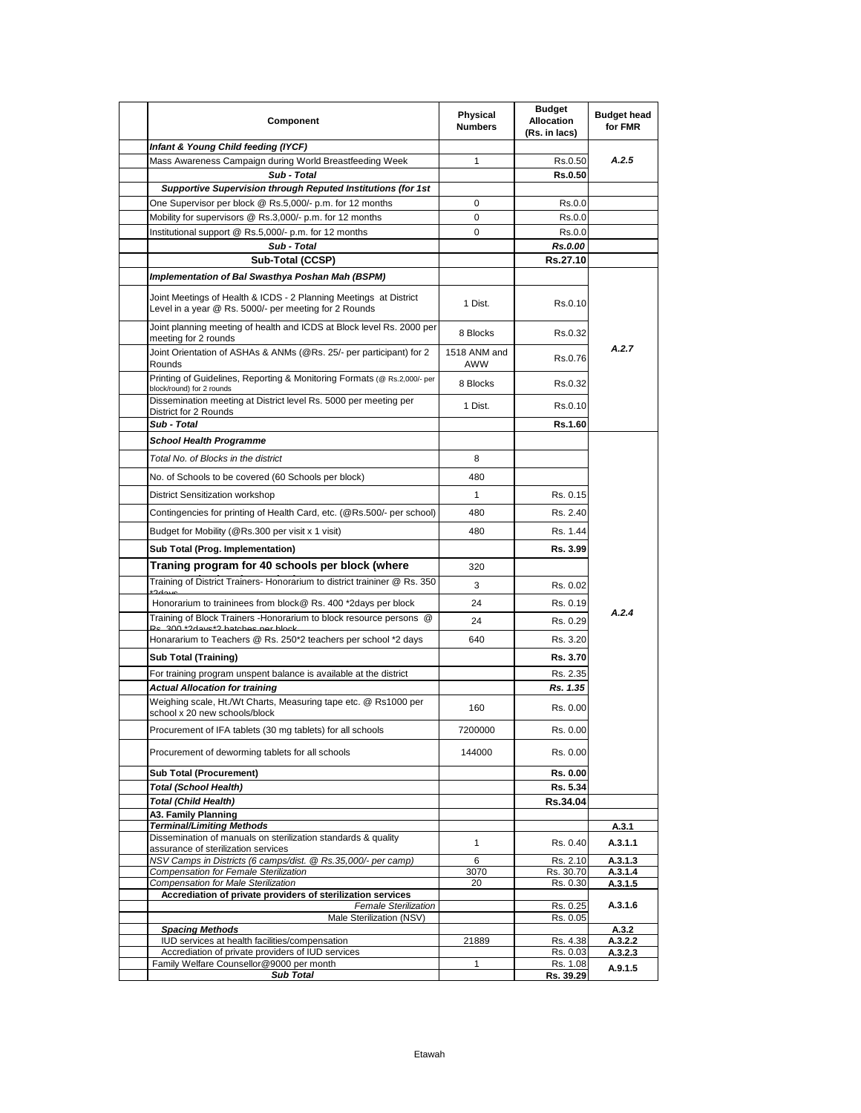| Component                                                                                                                                 | Physical<br><b>Numbers</b> | <b>Budget</b><br><b>Allocation</b><br>(Rs. in lacs) | <b>Budget head</b><br>for FMR |
|-------------------------------------------------------------------------------------------------------------------------------------------|----------------------------|-----------------------------------------------------|-------------------------------|
| Infant & Young Child feeding (IYCF)                                                                                                       |                            |                                                     |                               |
| Mass Awareness Campaign during World Breastfeeding Week                                                                                   | 1                          | Rs.0.50                                             | A.2.5                         |
| Sub - Total                                                                                                                               |                            | Rs.0.50                                             |                               |
| Supportive Supervision through Reputed Institutions (for 1st                                                                              |                            |                                                     |                               |
| One Supervisor per block @ Rs.5,000/- p.m. for 12 months                                                                                  | 0                          | Rs.0.0                                              |                               |
| Mobility for supervisors @ Rs.3,000/- p.m. for 12 months<br>Institutional support @ Rs.5,000/- p.m. for 12 months                         | 0<br>0                     | Rs.0.0<br>Rs.0.0                                    |                               |
| Sub - Total                                                                                                                               |                            | <b>Rs.0.00</b>                                      |                               |
| Sub-Total (CCSP)                                                                                                                          |                            | Rs.27.10                                            |                               |
| Implementation of Bal Swasthya Poshan Mah (BSPM)                                                                                          |                            |                                                     |                               |
| Joint Meetings of Health & ICDS - 2 Planning Meetings at District<br>Level in a year @ Rs. 5000/- per meeting for 2 Rounds                | 1 Dist.                    | Rs.0.10                                             |                               |
| Joint planning meeting of health and ICDS at Block level Rs. 2000 per<br>meeting for 2 rounds                                             | 8 Blocks                   | Rs.0.32                                             |                               |
| Joint Orientation of ASHAs & ANMs (@Rs. 25/- per participant) for 2<br>Rounds                                                             | 1518 ANM and<br>AWW        | Rs.0.76                                             | A.2.7                         |
| Printing of Guidelines, Reporting & Monitoring Formats (@ Rs.2,000/- per<br>block/round) for 2 rounds                                     | 8 Blocks                   | Rs.0.32                                             |                               |
| Dissemination meeting at District level Rs. 5000 per meeting per<br>District for 2 Rounds                                                 | 1 Dist.                    | Rs.0.10                                             |                               |
| Sub - Total                                                                                                                               |                            | Rs.1.60                                             |                               |
| <b>School Health Programme</b>                                                                                                            |                            |                                                     |                               |
| Total No. of Blocks in the district                                                                                                       | 8                          |                                                     |                               |
| No. of Schools to be covered (60 Schools per block)                                                                                       | 480                        |                                                     |                               |
| <b>District Sensitization workshop</b>                                                                                                    | $\mathbf{1}$               | Rs. 0.15                                            |                               |
| Contingencies for printing of Health Card, etc. (@Rs.500/- per school)                                                                    | 480                        | Rs. 2.40                                            |                               |
| Budget for Mobility (@Rs.300 per visit x 1 visit)                                                                                         | 480                        | Rs. 1.44                                            |                               |
| Sub Total (Prog. Implementation)                                                                                                          |                            | Rs. 3.99                                            |                               |
| Traning program for 40 schools per block (where                                                                                           | 320                        |                                                     |                               |
| Training of District Trainers- Honorarium to district traininer @ Rs. 350                                                                 | 3                          | Rs. 0.02                                            |                               |
| Honorarium to traininees from block@ Rs. 400 *2days per block                                                                             | 24                         | Rs. 0.19                                            |                               |
| Training of Block Trainers - Honorarium to block resource persons @                                                                       | 24                         | Rs. 0.29                                            | A.2.4                         |
| 200 *2doug*2 hatches per blook<br>Honararium to Teachers @ Rs. 250*2 teachers per school *2 days                                          | 640                        | Rs. 3.20                                            |                               |
|                                                                                                                                           |                            |                                                     |                               |
| Sub Total (Training)                                                                                                                      |                            | Rs. 3.70                                            |                               |
| For training program unspent balance is available at the district                                                                         |                            | Rs. 2.35                                            |                               |
| <b>Actual Allocation for training</b><br>Weighing scale, Ht./Wt Charts, Measuring tape etc. @ Rs1000 per<br>school x 20 new schools/block | 160                        | Rs. 1.35<br>Rs. 0.00                                |                               |
| Procurement of IFA tablets (30 mg tablets) for all schools                                                                                | 7200000                    | Rs. 0.00                                            |                               |
| Procurement of deworming tablets for all schools                                                                                          | 144000                     | Rs. 0.00                                            |                               |
| <b>Sub Total (Procurement)</b>                                                                                                            |                            | Rs. 0.00                                            |                               |
| <b>Total (School Health)</b>                                                                                                              |                            | Rs. 5.34                                            |                               |
| Total (Child Health)                                                                                                                      |                            | Rs.34.04                                            |                               |
| A3. Family Planning                                                                                                                       |                            |                                                     |                               |
| <b>Terminal/Limiting Methods</b><br>Dissemination of manuals on sterilization standards & quality                                         |                            |                                                     | A.3.1                         |
| assurance of sterilization services                                                                                                       | 1                          | Rs. 0.40                                            | A.3.1.1                       |
| NSV Camps in Districts (6 camps/dist. @ Rs.35,000/- per camp)<br>Compensation for Female Sterilization                                    | 6<br>3070                  | Rs. 2.10<br>Rs. 30.70                               | A.3.1.3<br>A.3.1.4            |
| Compensation for Male Sterilization                                                                                                       | 20                         | Rs. 0.30                                            | A.3.1.5                       |
| Accrediation of private providers of sterilization services<br><b>Female Sterilization</b>                                                |                            | Rs. 0.25                                            | A.3.1.6                       |
| Male Sterilization (NSV)                                                                                                                  |                            | Rs. 0.05                                            |                               |
| <b>Spacing Methods</b>                                                                                                                    |                            |                                                     | A.3.2                         |
| IUD services at health facilities/compensation<br>Accrediation of private providers of IUD services                                       | 21889                      | Rs. 4.38<br>Rs. 0.03                                | A.3.2.2<br>A.3.2.3            |
| Family Welfare Counsellor@9000 per month                                                                                                  | 1                          | Rs. 1.08                                            | A.9.1.5                       |
| <b>Sub Total</b>                                                                                                                          |                            | Rs. 39.29                                           |                               |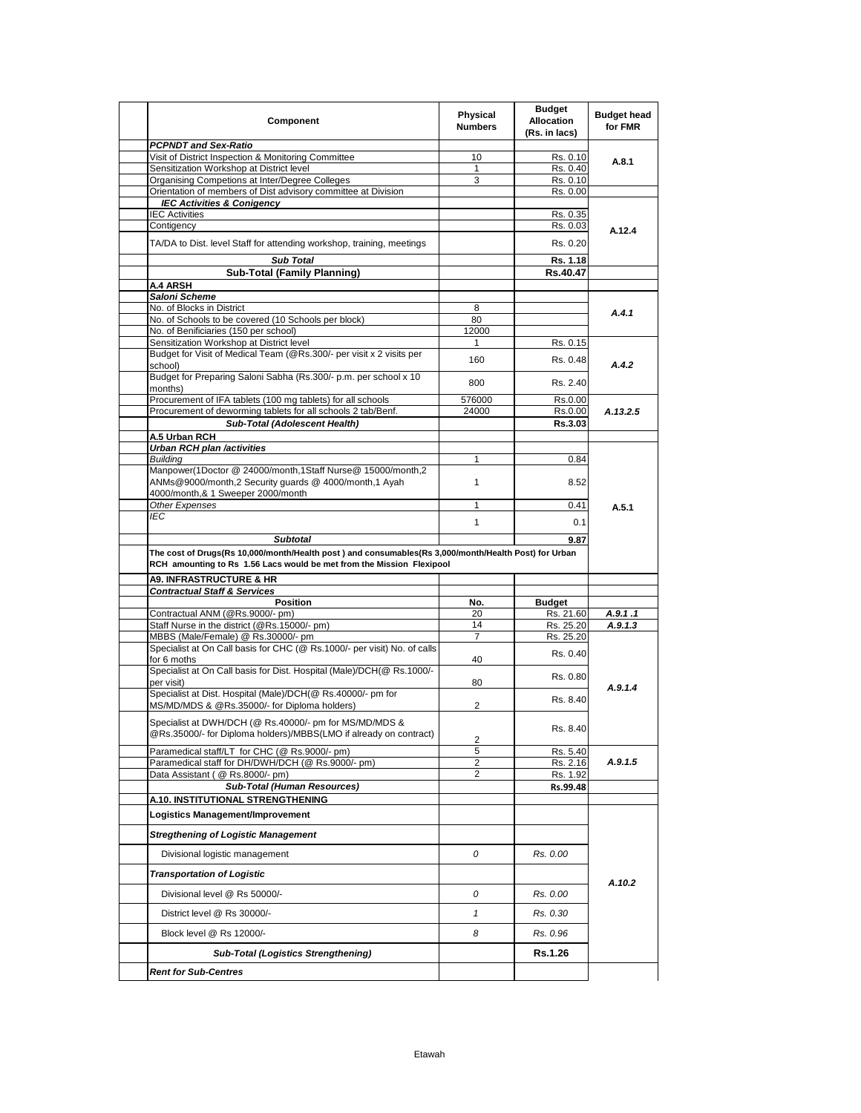| Component                                                                                                                                                                                        | Physical<br><b>Numbers</b> | <b>Budget</b><br><b>Allocation</b><br>(Rs. in lacs) | <b>Budget head</b><br>for FMR |
|--------------------------------------------------------------------------------------------------------------------------------------------------------------------------------------------------|----------------------------|-----------------------------------------------------|-------------------------------|
| <b>PCPNDT and Sex-Ratio</b>                                                                                                                                                                      |                            |                                                     |                               |
| Visit of District Inspection & Monitoring Committee                                                                                                                                              | 10                         | Rs. 0.10                                            | A.8.1                         |
| Sensitization Workshop at District level<br>Organising Competions at Inter/Degree Colleges                                                                                                       | 1<br>3                     | Rs. 0.40<br>Rs. 0.10                                |                               |
| Orientation of members of Dist advisory committee at Division                                                                                                                                    |                            | Rs. 0.00                                            |                               |
| <b>IEC Activities &amp; Conigency</b>                                                                                                                                                            |                            |                                                     |                               |
| <b>IEC Activities</b>                                                                                                                                                                            |                            | Rs. 0.35                                            |                               |
| Contigency                                                                                                                                                                                       |                            | Rs. 0.03                                            | A.12.4                        |
| TA/DA to Dist. level Staff for attending workshop, training, meetings                                                                                                                            |                            | Rs. 0.20                                            |                               |
| <b>Sub Total</b>                                                                                                                                                                                 |                            | Rs. 1.18                                            |                               |
| <b>Sub-Total (Family Planning)</b>                                                                                                                                                               |                            | Rs.40.47                                            |                               |
| A.4 ARSH                                                                                                                                                                                         |                            |                                                     |                               |
| Saloni Scheme<br>No. of Blocks in District                                                                                                                                                       | 8                          |                                                     |                               |
| No. of Schools to be covered (10 Schools per block)                                                                                                                                              | 80                         |                                                     | A.4.1                         |
| No. of Benificiaries (150 per school)                                                                                                                                                            | 12000                      |                                                     |                               |
| Sensitization Workshop at District level                                                                                                                                                         | 1                          | Rs. 0.15                                            |                               |
| Budget for Visit of Medical Team (@Rs.300/- per visit x 2 visits per                                                                                                                             | 160                        |                                                     |                               |
| school)<br>Budget for Preparing Saloni Sabha (Rs.300/- p.m. per school x 10                                                                                                                      |                            | Rs. 0.48                                            | A.4.2                         |
| months)                                                                                                                                                                                          | 800                        | Rs. 2.40                                            |                               |
| Procurement of IFA tablets (100 mg tablets) for all schools                                                                                                                                      | 576000                     | Rs.0.00                                             |                               |
| Procurement of deworming tablets for all schools 2 tab/Benf.                                                                                                                                     | 24000                      | Rs.0.00                                             | A.13.2.5                      |
| <b>Sub-Total (Adolescent Health)</b>                                                                                                                                                             |                            | Rs.3.03                                             |                               |
| A.5 Urban RCH                                                                                                                                                                                    |                            |                                                     |                               |
| <b>Urban RCH plan /activities</b>                                                                                                                                                                |                            |                                                     |                               |
| <b>Buildina</b><br>Manpower(1Doctor @ 24000/month,1Staff Nurse@ 15000/month,2                                                                                                                    | $\mathbf{1}$               | 0.84                                                |                               |
| ANMs@9000/month,2 Security guards @ 4000/month,1 Ayah<br>4000/month,& 1 Sweeper 2000/month                                                                                                       | $\mathbf{1}$               | 8.52                                                |                               |
| Other Expenses                                                                                                                                                                                   | 1                          | 0.41                                                | A.5.1                         |
| IEC                                                                                                                                                                                              |                            |                                                     |                               |
|                                                                                                                                                                                                  | $\mathbf{1}$               | 0.1                                                 |                               |
| <b>Subtotal</b><br>The cost of Drugs(Rs 10,000/month/Health post) and consumables(Rs 3,000/month/Health Post) for Urban<br>RCH amounting to Rs 1.56 Lacs would be met from the Mission Flexipool |                            | 9.87                                                |                               |
| <b>A9. INFRASTRUCTURE &amp; HR</b><br><b>Contractual Staff &amp; Services</b>                                                                                                                    |                            |                                                     |                               |
| Position                                                                                                                                                                                         | No.                        | Budget                                              |                               |
| Contractual ANM (@Rs.9000/- pm)                                                                                                                                                                  | 20                         | Rs. 21.60                                           | A.9.1.1                       |
| Staff Nurse in the district (@Rs.15000/- pm)                                                                                                                                                     | 14                         | Rs. 25.20                                           | A.9.1.3                       |
| MBBS (Male/Female) @ Rs.30000/- pm                                                                                                                                                               | 7                          | Rs. 25.20                                           |                               |
| Specialist at On Call basis for CHC (@ Rs.1000/- per visit) No. of calls<br>for 6 moths                                                                                                          | 40                         | Rs. 0.40                                            |                               |
| Specialist at On Call basis for Dist. Hospital (Male)/DCH(@ Rs.1000/-<br>per visit)                                                                                                              | 80                         | Rs. 0.80                                            | A.9.1.4                       |
| Specialist at Dist. Hospital (Male)/DCH(@ Rs.40000/- pm for<br>MS/MD/MDS & @Rs.35000/- for Diploma holders)                                                                                      | 2                          | Rs. 8.40                                            |                               |
| Specialist at DWH/DCH (@ Rs.40000/- pm for MS/MD/MDS &<br>@Rs.35000/- for Diploma holders)/MBBS(LMO if already on contract)                                                                      | $\overline{c}$             | Rs. 8.40                                            |                               |
| Paramedical staff/LT for CHC (@ Rs.9000/- pm)                                                                                                                                                    | 5                          | Rs. 5.40                                            |                               |
| Paramedical staff for DH/DWH/DCH (@ Rs.9000/- pm)                                                                                                                                                | 2                          | Rs. 2.16                                            | A.9.1.5                       |
| Data Assistant (@ Rs.8000/- pm)                                                                                                                                                                  | 2                          | Rs. 1.92                                            |                               |
| Sub-Total (Human Resources)                                                                                                                                                                      |                            | Rs.99.48                                            |                               |
| A.10. INSTITUTIONAL STRENGTHENING                                                                                                                                                                |                            |                                                     |                               |
| Logistics Management/Improvement                                                                                                                                                                 |                            |                                                     |                               |
| <b>Stregthening of Logistic Management</b>                                                                                                                                                       |                            |                                                     |                               |
| Divisional logistic management                                                                                                                                                                   | 0                          | Rs. 0.00                                            |                               |
| <b>Transportation of Logistic</b>                                                                                                                                                                |                            |                                                     | A.10.2                        |
| Divisional level @ Rs 50000/-                                                                                                                                                                    | 0                          | Rs. 0.00                                            |                               |
| District level @ Rs 30000/-                                                                                                                                                                      | $\mathbf{1}$               | Rs. 0.30                                            |                               |
| Block level @ Rs 12000/-                                                                                                                                                                         | 8                          | Rs. 0.96                                            |                               |
| <b>Sub-Total (Logistics Strengthening)</b>                                                                                                                                                       |                            | Rs.1.26                                             |                               |
| <b>Rent for Sub-Centres</b>                                                                                                                                                                      |                            |                                                     |                               |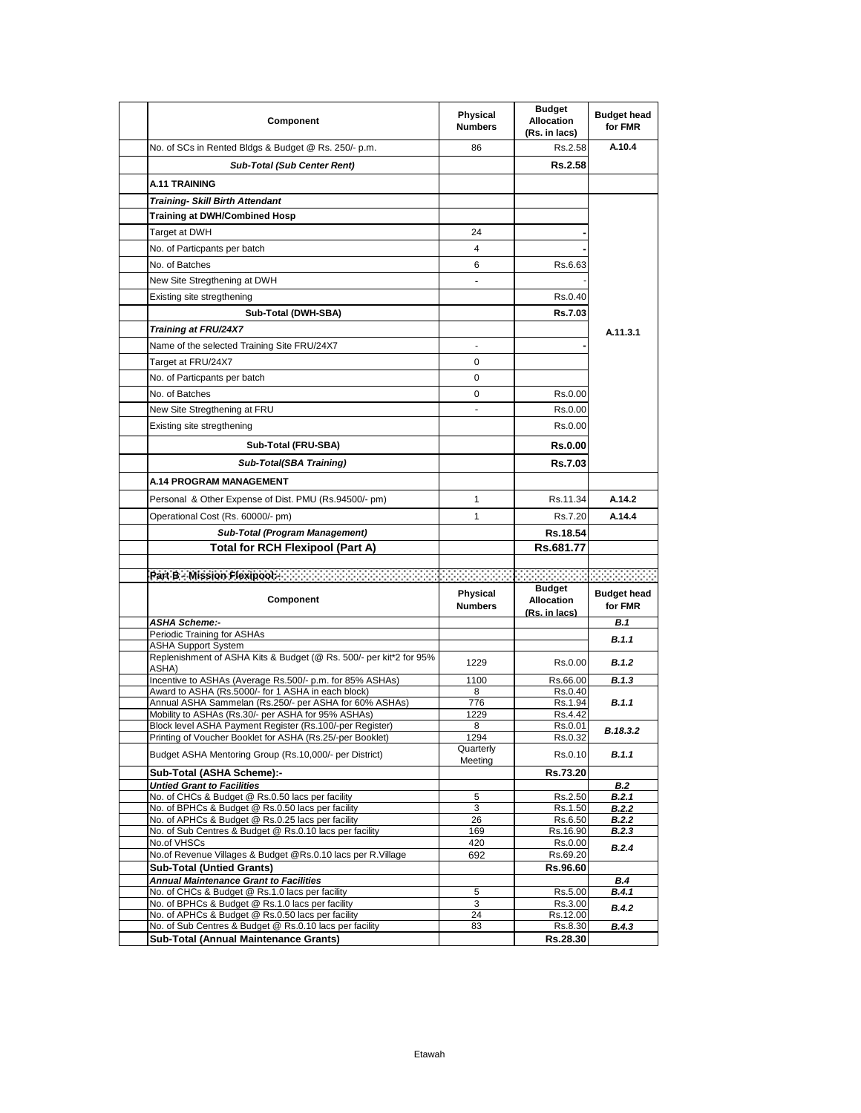| Component                                                                                                               | Physical<br><b>Numbers</b>   | <b>Budget</b><br><b>Allocation</b><br>(Rs. in lacs) | <b>Budget head</b><br>for FMR |
|-------------------------------------------------------------------------------------------------------------------------|------------------------------|-----------------------------------------------------|-------------------------------|
| No. of SCs in Rented Bldgs & Budget @ Rs. 250/- p.m.                                                                    | 86                           | Rs.2.58                                             | A.10.4                        |
| <b>Sub-Total (Sub Center Rent)</b>                                                                                      |                              | <b>Rs.2.58</b>                                      |                               |
| A.11 TRAINING                                                                                                           |                              |                                                     |                               |
| <b>Training- Skill Birth Attendant</b>                                                                                  |                              |                                                     |                               |
| <b>Training at DWH/Combined Hosp</b>                                                                                    |                              |                                                     |                               |
| Target at DWH                                                                                                           | 24                           |                                                     |                               |
| No. of Particpants per batch                                                                                            | 4                            |                                                     |                               |
| No. of Batches                                                                                                          | 6                            | Rs.6.63                                             |                               |
| New Site Stregthening at DWH                                                                                            | $\overline{a}$               |                                                     |                               |
| Existing site stregthening                                                                                              |                              | Rs.0.40                                             |                               |
| Sub-Total (DWH-SBA)                                                                                                     |                              | <b>Rs.7.03</b>                                      |                               |
| Training at FRU/24X7                                                                                                    |                              |                                                     |                               |
| Name of the selected Training Site FRU/24X7                                                                             | ä,                           |                                                     | A.11.3.1                      |
|                                                                                                                         | 0                            |                                                     |                               |
| Target at FRU/24X7                                                                                                      |                              |                                                     |                               |
| No. of Particpants per batch                                                                                            | 0                            |                                                     |                               |
| No. of Batches                                                                                                          | 0                            | Rs.0.00                                             |                               |
| New Site Stregthening at FRU                                                                                            |                              | Rs.0.00                                             |                               |
| Existing site stregthening                                                                                              |                              | Rs.0.00                                             |                               |
| Sub-Total (FRU-SBA)                                                                                                     |                              | <b>Rs.0.00</b>                                      |                               |
| Sub-Total(SBA Training)                                                                                                 |                              | <b>Rs.7.03</b>                                      |                               |
| <b>A.14 PROGRAM MANAGEMENT</b>                                                                                          |                              |                                                     |                               |
| Personal & Other Expense of Dist. PMU (Rs.94500/- pm)                                                                   | 1                            | Rs.11.34                                            | A.14.2                        |
| Operational Cost (Rs. 60000/- pm)                                                                                       | 1                            | Rs.7.20                                             | A.14.4                        |
| Sub-Total (Program Management)                                                                                          |                              | Rs.18.54                                            |                               |
| Total for RCH Flexipool (Part A)                                                                                        |                              | Rs.681.77                                           |                               |
|                                                                                                                         |                              |                                                     |                               |
| Part Bio Mission Flexipools and account the contract of the contract of the contract of the contract of the contract of |                              |                                                     |                               |
| Component                                                                                                               | Physical<br><b>Numbers</b>   | <b>Budget</b><br><b>Allocation</b><br>(Rs. in lacs) | <b>Budget head</b><br>for FMR |
| <b>ASHA Scheme:-</b>                                                                                                    |                              |                                                     | B.1                           |
| Periodic Training for ASHAs<br><b>ASHA Support System</b>                                                               |                              |                                                     | <b>B.1.1</b>                  |
| Replenishment of ASHA Kits & Budget (@ Rs. 500/- per kit*2 for 95%<br>ASHA)                                             | 1229                         | Rs.0.00                                             | <b>B.1.2</b>                  |
| Incentive to ASHAs (Average Rs.500/- p.m. for 85% ASHAs)                                                                | 1100                         | Rs.66.00                                            | B.1.3                         |
| Award to ASHA (Rs.5000/- for 1 ASHA in each block)<br>Annual ASHA Sammelan (Rs.250/- per ASHA for 60% ASHAs)            | 8<br>776                     | Rs.0.40<br>Rs.1.94                                  | B.1.1                         |
| Mobility to ASHAs (Rs.30/- per ASHA for 95% ASHAs)                                                                      | 1229                         | Rs.4.42                                             |                               |
| Block level ASHA Payment Register (Rs.100/-per Register)                                                                | 8                            | Rs.0.01                                             | B.18.3.2                      |
| Printing of Voucher Booklet for ASHA (Rs.25/-per Booklet)<br>Budget ASHA Mentoring Group (Rs.10,000/- per District)     | 1294<br>Quarterly<br>Meeting | Rs.0.32<br>Rs.0.10                                  | B.1.1                         |
| Sub-Total (ASHA Scheme):-                                                                                               |                              | Rs.73.20                                            |                               |
| <b>Untied Grant to Facilities</b>                                                                                       |                              |                                                     | B.2                           |
| No. of CHCs & Budget @ Rs.0.50 lacs per facility                                                                        | 5                            | Rs.2.50                                             | B.2.1                         |
| No. of BPHCs & Budget @ Rs.0.50 lacs per facility<br>No. of APHCs & Budget @ Rs.0.25 lacs per facility                  | 3<br>26                      | Rs.1.50<br>Rs.6.50                                  | <b>B.2.2</b><br><b>B.2.2</b>  |
| No. of Sub Centres & Budget @ Rs.0.10 lacs per facility                                                                 | 169                          | Rs.16.90                                            | B.2.3                         |
| No.of VHSCs<br>No.of Revenue Villages & Budget @Rs.0.10 lacs per R.Village                                              | 420<br>692                   | Rs.0.00<br>Rs.69.20                                 | B.2.4                         |
| <b>Sub-Total (Untied Grants)</b>                                                                                        |                              | Rs.96.60                                            |                               |
| <b>Annual Maintenance Grant to Facilities</b>                                                                           |                              |                                                     | B.4                           |
| No. of CHCs & Budget @ Rs.1.0 lacs per facility                                                                         | 5                            | Rs.5.00                                             | B.4.1                         |
| No. of BPHCs & Budget @ Rs.1.0 lacs per facility<br>No. of APHCs & Budget @ Rs.0.50 lacs per facility                   | 3<br>24                      | Rs.3.00<br>Rs.12.00                                 | <b>B.4.2</b>                  |
| No. of Sub Centres & Budget @ Rs.0.10 lacs per facility                                                                 | 83                           | Rs.8.30                                             | B.4.3                         |
| Sub-Total (Annual Maintenance Grants)                                                                                   |                              | Rs.28.30                                            |                               |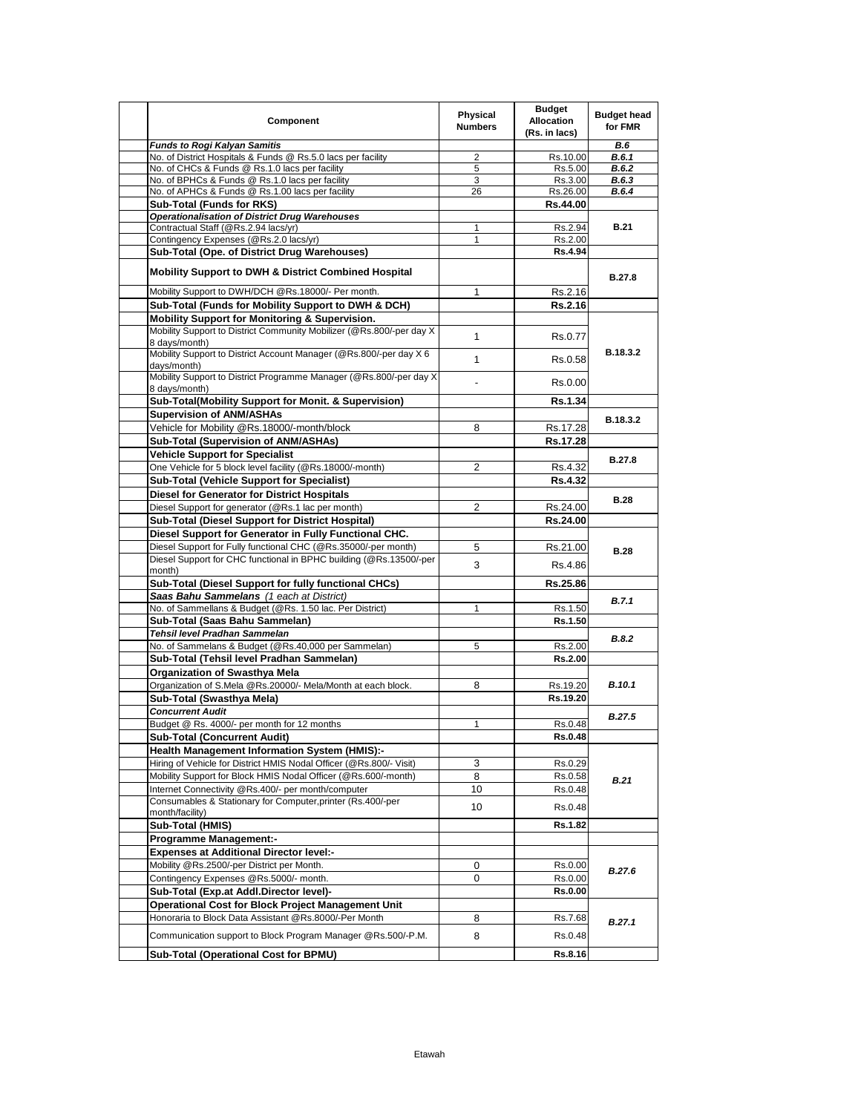| Component                                                                           | Physical<br><b>Numbers</b> | <b>Budget</b><br><b>Allocation</b><br>(Rs. in lacs) | <b>Budget head</b><br>for FMR |
|-------------------------------------------------------------------------------------|----------------------------|-----------------------------------------------------|-------------------------------|
| <b>Funds to Rogi Kalyan Samitis</b>                                                 |                            |                                                     | <b>B.6</b>                    |
| No. of District Hospitals & Funds @ Rs.5.0 lacs per facility                        | 2                          | Rs.10.00                                            | B.6.1                         |
| No. of CHCs & Funds @ Rs.1.0 lacs per facility                                      | 5                          | Rs.5.00                                             | B.6.2                         |
| No. of BPHCs & Funds @ Rs.1.0 lacs per facility                                     | 3                          | Rs.3.00                                             | B.6.3                         |
| No. of APHCs & Funds @ Rs.1.00 lacs per facility                                    | 26                         | Rs.26.00                                            | B.6.4                         |
| <b>Sub-Total (Funds for RKS)</b>                                                    |                            | Rs.44.00                                            |                               |
| <b>Operationalisation of District Drug Warehouses</b>                               |                            |                                                     |                               |
| Contractual Staff (@Rs.2.94 lacs/yr)                                                | 1                          | Rs.2.94                                             | <b>B.21</b>                   |
| Contingency Expenses (@Rs.2.0 lacs/yr)                                              | 1                          | Rs.2.00                                             |                               |
| Sub-Total (Ope. of District Drug Warehouses)                                        |                            | <b>Rs.4.94</b>                                      |                               |
| <b>Mobility Support to DWH &amp; District Combined Hospital</b>                     |                            |                                                     | B.27.8                        |
| Mobility Support to DWH/DCH @Rs.18000/- Per month.                                  | 1                          | Rs.2.16                                             |                               |
| Sub-Total (Funds for Mobility Support to DWH & DCH)                                 |                            | Rs.2.16                                             |                               |
| Mobility Support for Monitoring & Supervision.                                      |                            |                                                     |                               |
| Mobility Support to District Community Mobilizer (@Rs.800/-per day X                |                            |                                                     |                               |
| 8 days/month)                                                                       | $\mathbf{1}$               | Rs.0.77                                             |                               |
| Mobility Support to District Account Manager (@Rs.800/-per day X 6<br>days/month)   | $\mathbf{1}$               | Rs.0.58                                             | B.18.3.2                      |
| Mobility Support to District Programme Manager (@Rs.800/-per day X<br>8 days/month) |                            | Rs 0.00                                             |                               |
| Sub-Total(Mobility Support for Monit. & Supervision)                                |                            | Rs.1.34                                             |                               |
|                                                                                     |                            |                                                     |                               |
| <b>Supervision of ANM/ASHAs</b>                                                     |                            |                                                     | B.18.3.2                      |
| Vehicle for Mobility @Rs.18000/-month/block                                         | 8                          | Rs.17.28                                            |                               |
| Sub-Total (Supervision of ANM/ASHAs)                                                |                            | Rs.17.28                                            |                               |
| <b>Vehicle Support for Specialist</b>                                               |                            |                                                     | <b>B.27.8</b>                 |
| One Vehicle for 5 block level facility (@Rs.18000/-month)                           | $\overline{2}$             | Rs 4.32                                             |                               |
| Sub-Total (Vehicle Support for Specialist)                                          |                            | <b>Rs.4.32</b>                                      |                               |
| <b>Diesel for Generator for District Hospitals</b>                                  |                            |                                                     | <b>B.28</b>                   |
| Diesel Support for generator (@Rs.1 lac per month)                                  | 2                          | Rs.24.00                                            |                               |
| Sub-Total (Diesel Support for District Hospital)                                    |                            | Rs.24.00                                            |                               |
| Diesel Support for Generator in Fully Functional CHC.                               |                            |                                                     |                               |
| Diesel Support for Fully functional CHC (@Rs.35000/-per month)                      | 5                          | Rs.21.00                                            |                               |
| Diesel Support for CHC functional in BPHC building (@Rs.13500/-per                  |                            |                                                     | <b>B.28</b>                   |
| month)                                                                              | 3                          | Rs.4.86                                             |                               |
| Sub-Total (Diesel Support for fully functional CHCs)                                |                            | Rs.25.86                                            |                               |
| Saas Bahu Sammelans (1 each at District)                                            |                            |                                                     |                               |
| No. of Sammellans & Budget (@Rs. 1.50 lac. Per District)                            | 1                          | Rs.1.50                                             | <b>B.7.1</b>                  |
| Sub-Total (Saas Bahu Sammelan)                                                      |                            | Rs.1.50                                             |                               |
| Tehsil level Pradhan Sammelan                                                       |                            |                                                     |                               |
| No. of Sammelans & Budget (@Rs.40,000 per Sammelan)                                 | 5                          | Rs.2.00                                             | B.8.2                         |
| Sub-Total (Tehsil level Pradhan Sammelan)                                           |                            | Rs.2.00                                             |                               |
| <b>Organization of Swasthya Mela</b>                                                |                            |                                                     |                               |
| Organization of S.Mela @Rs.20000/- Mela/Month at each block.                        | 8                          | Rs.19.20                                            | B.10.1                        |
| Sub-Total (Swasthya Mela)                                                           |                            | Rs.19.20                                            |                               |
| <b>Concurrent Audit</b>                                                             |                            |                                                     |                               |
| Budget @ Rs. 4000/- per month for 12 months                                         | 1                          | Rs.0.48                                             | <b>B.27.5</b>                 |
| <b>Sub-Total (Concurrent Audit)</b>                                                 |                            | Rs.0.48                                             |                               |
|                                                                                     |                            |                                                     |                               |
| <b>Health Management Information System (HMIS):-</b>                                |                            |                                                     |                               |
| Hiring of Vehicle for District HMIS Nodal Officer (@Rs.800/- Visit)                 | 3                          | Rs.0.29                                             |                               |
| Mobility Support for Block HMIS Nodal Officer (@Rs.600/-month)                      | 8                          | Rs.0.58                                             | B.21                          |
| Internet Connectivity @Rs.400/- per month/computer                                  | 10                         | Rs.0.48                                             |                               |
| Consumables & Stationary for Computer, printer (Rs.400/-per                         | 10                         | Rs.0.48                                             |                               |
| month/facility)                                                                     |                            |                                                     |                               |
| Sub-Total (HMIS)                                                                    |                            | Rs.1.82                                             |                               |
| <b>Programme Management:-</b>                                                       |                            |                                                     |                               |
| <b>Expenses at Additional Director level:-</b>                                      |                            |                                                     |                               |
| Mobility @Rs.2500/-per District per Month.                                          | 0                          | Rs.0.00                                             | B.27.6                        |
| Contingency Expenses @Rs.5000/- month.                                              | 0                          | Rs.0.00                                             |                               |
| Sub-Total (Exp.at Addl.Director level)-                                             |                            | Rs.0.00                                             |                               |
| <b>Operational Cost for Block Project Management Unit</b>                           |                            |                                                     |                               |
| Honoraria to Block Data Assistant @Rs.8000/-Per Month                               | 8                          | Rs.7.68                                             | B.27.1                        |
| Communication support to Block Program Manager @Rs.500/-P.M.                        | 8                          | Rs.0.48                                             |                               |
| Sub-Total (Operational Cost for BPMU)                                               |                            | Rs.8.16                                             |                               |
|                                                                                     |                            |                                                     |                               |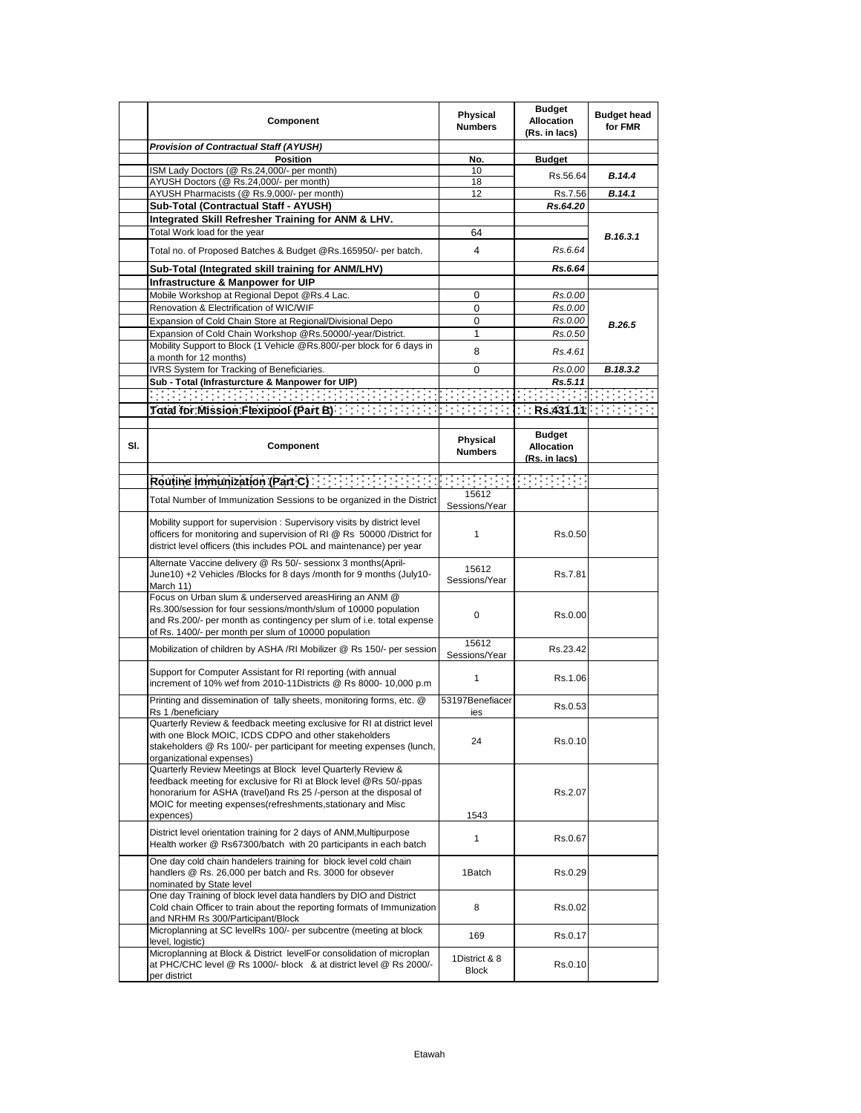| <b>Provision of Contractual Staff (AYUSH)</b><br><b>Position</b><br>No.<br><b>Budget</b><br>ISM Lady Doctors (@ Rs.24,000/- per month)<br>10<br>B.14.4<br>Rs.56.64<br>AYUSH Doctors (@ Rs.24,000/- per month)<br>18<br>AYUSH Pharmacists (@ Rs.9,000/- per month)<br>12<br>Rs.7.56<br>B.14.1<br>Sub-Total (Contractual Staff - AYUSH)<br>Rs.64.20<br>Integrated Skill Refresher Training for ANM & LHV.<br>Total Work load for the year<br>64<br>B.16.3.1<br>$\overline{4}$<br>Rs.6.64<br>Total no. of Proposed Batches & Budget @Rs.165950/- per batch.<br>Sub-Total (Integrated skill training for ANM/LHV)<br>Rs.6.64<br>Infrastructure & Manpower for UIP<br>Mobile Workshop at Regional Depot @Rs.4 Lac.<br>0<br>Rs.0.00<br>Renovation & Electrification of WIC/WIF<br>$\mathbf 0$<br>Rs.0.00<br>Expansion of Cold Chain Store at Regional/Divisional Depo<br>$\mathbf 0$<br>Rs.0.00<br>B.26.5<br>1<br>Rs.0.50<br>Expansion of Cold Chain Workshop @Rs.50000/-year/District.<br>Mobility Support to Block (1 Vehicle @Rs.800/-per block for 6 days in<br>8<br>Rs.4.61<br>a month for 12 months)<br>IVRS System for Tracking of Beneficiaries.<br>0<br>Rs.0.00<br>B.18.3.2<br>Sub - Total (Infrasturcture & Manpower for UIP)<br>Rs.5.11<br>in di sebagai di sebagai sebagai sebagai sebagai sebagai sebagai sebagai sebagai sebagai sebagai sebagai sebag<br>Sebagai sebagai sebagai sebagai sebagai sebagai sebagai sebagai sebagai sebagai sebagai sebagai sebagai sebaga<br>$\mathcal{L}(\mathcal{L}^{\mathcal{L}})$ , and $\mathcal{L}(\mathcal{L}^{\mathcal{L}})$ , and<br><b>Budget</b><br>Physical<br>SI.<br>Component<br><b>Allocation</b><br><b>Numbers</b><br>(Rs. in lacs)<br>FF HEFF<br>Routine Immunization (Part C) And All Analysis (Part C)<br>15612<br>Total Number of Immunization Sessions to be organized in the District<br>Sessions/Year<br>Mobility support for supervision: Supervisory visits by district level<br>officers for monitoring and supervision of RI @ Rs 50000 /District for<br>$\mathbf{1}$<br>Rs.0.50<br>district level officers (this includes POL and maintenance) per year<br>Alternate Vaccine delivery @ Rs 50/- sessionx 3 months(April-<br>15612<br>June10) +2 Vehicles /Blocks for 8 days /month for 9 months (July10-<br>Rs.7.81<br>Sessions/Year<br>March 11)<br>Focus on Urban slum & underserved areasHiring an ANM @<br>Rs.300/session for four sessions/month/slum of 10000 population<br>0<br>Rs.0.00<br>and Rs.200/- per month as contingency per slum of i.e. total expense<br>of Rs. 1400/- per month per slum of 10000 population<br>15612<br>Mobilization of children by ASHA /RI Mobilizer @ Rs 150/- per session<br>Rs.23.42<br>Sessions/Year<br>Support for Computer Assistant for RI reporting (with annual<br>1<br>Rs.1.06<br>increment of 10% wef from 2010-11Districts @ Rs 8000-10,000 p.m<br>Printing and dissemination of tally sheets, monitoring forms, etc. @<br>53197Benefiacer<br>Rs.0.53<br>Rs 1 /beneficiary<br>ies<br>Quarterly Review & feedback meeting exclusive for RI at district level<br>with one Block MOIC, ICDS CDPO and other stakeholders<br>24<br>Rs.0.10<br>stakeholders @ Rs 100/- per participant for meeting expenses (lunch,<br>organizational expenses)<br>Quarterly Review Meetings at Block level Quarterly Review &<br>feedback meeting for exclusive for RI at Block level @Rs 50/-ppas<br>honorarium for ASHA (travel) and Rs 25 /-person at the disposal of<br>Rs.2.07<br>MOIC for meeting expenses (refreshments, stationary and Misc<br>expences)<br>1543<br>District level orientation training for 2 days of ANM, Multipurpose<br>$\mathbf{1}$<br>Rs.0.67<br>Health worker @ Rs67300/batch with 20 participants in each batch<br>One day cold chain handelers training for block level cold chain<br>handlers @ Rs. 26,000 per batch and Rs. 3000 for obsever<br>1Batch<br>Rs.0.29<br>nominated by State level<br>One day Training of block level data handlers by DIO and District<br>Cold chain Officer to train about the reporting formats of Immunization<br>8<br>Rs.0.02<br>and NRHM Rs 300/Participant/Block<br>Microplanning at SC levelRs 100/- per subcentre (meeting at block<br>169<br>Rs.0.17<br>level, logistic)<br>Microplanning at Block & District levelFor consolidation of microplan<br>1District & 8<br>at PHC/CHC level @ Rs 1000/- block & at district level @ Rs 2000/-<br>Rs.0.10<br>Block<br>per district | Component | Physical<br><b>Numbers</b> | <b>Budget</b><br><b>Allocation</b><br>(Rs. in lacs) | <b>Budget head</b><br>for FMR |
|----------------------------------------------------------------------------------------------------------------------------------------------------------------------------------------------------------------------------------------------------------------------------------------------------------------------------------------------------------------------------------------------------------------------------------------------------------------------------------------------------------------------------------------------------------------------------------------------------------------------------------------------------------------------------------------------------------------------------------------------------------------------------------------------------------------------------------------------------------------------------------------------------------------------------------------------------------------------------------------------------------------------------------------------------------------------------------------------------------------------------------------------------------------------------------------------------------------------------------------------------------------------------------------------------------------------------------------------------------------------------------------------------------------------------------------------------------------------------------------------------------------------------------------------------------------------------------------------------------------------------------------------------------------------------------------------------------------------------------------------------------------------------------------------------------------------------------------------------------------------------------------------------------------------------------------------------------------------------------------------------------------------------------------------------------------------------------------------------------------------------------------------------------------------------------------------------------------------------------------------------------------------------------------------------------------------------------------------------------------------------------------------------------------------------------------------------------------------------------------------------------------------------------------------------------------------------------------------------------------------------------------------------------------------------------------------------------------------------------------------------------------------------------------------------------------------------------------------------------------------------------------------------------------------------------------------------------------------------------------------------------------------------------------------------------------------------------------------------------------------------------------------------------------------------------------------------------------------------------------------------------------------------------------------------------------------------------------------------------------------------------------------------------------------------------------------------------------------------------------------------------------------------------------------------------------------------------------------------------------------------------------------------------------------------------------------------------------------------------------------------------------------------------------------------------------------------------------------------------------------------------------------------------------------------------------------------------------------------------------------------------------------------------------------------------------------------------------------------------------------------------------------------------------------------------------------------------------------------------------------------------------------------------------------------------------------------------------------------------------------------------------------------------------------------------------------------|-----------|----------------------------|-----------------------------------------------------|-------------------------------|
|                                                                                                                                                                                                                                                                                                                                                                                                                                                                                                                                                                                                                                                                                                                                                                                                                                                                                                                                                                                                                                                                                                                                                                                                                                                                                                                                                                                                                                                                                                                                                                                                                                                                                                                                                                                                                                                                                                                                                                                                                                                                                                                                                                                                                                                                                                                                                                                                                                                                                                                                                                                                                                                                                                                                                                                                                                                                                                                                                                                                                                                                                                                                                                                                                                                                                                                                                                                                                                                                                                                                                                                                                                                                                                                                                                                                                                                                                                                                                                                                                                                                                                                                                                                                                                                                                                                                                                                                                                                    |           |                            |                                                     |                               |
|                                                                                                                                                                                                                                                                                                                                                                                                                                                                                                                                                                                                                                                                                                                                                                                                                                                                                                                                                                                                                                                                                                                                                                                                                                                                                                                                                                                                                                                                                                                                                                                                                                                                                                                                                                                                                                                                                                                                                                                                                                                                                                                                                                                                                                                                                                                                                                                                                                                                                                                                                                                                                                                                                                                                                                                                                                                                                                                                                                                                                                                                                                                                                                                                                                                                                                                                                                                                                                                                                                                                                                                                                                                                                                                                                                                                                                                                                                                                                                                                                                                                                                                                                                                                                                                                                                                                                                                                                                                    |           |                            |                                                     |                               |
|                                                                                                                                                                                                                                                                                                                                                                                                                                                                                                                                                                                                                                                                                                                                                                                                                                                                                                                                                                                                                                                                                                                                                                                                                                                                                                                                                                                                                                                                                                                                                                                                                                                                                                                                                                                                                                                                                                                                                                                                                                                                                                                                                                                                                                                                                                                                                                                                                                                                                                                                                                                                                                                                                                                                                                                                                                                                                                                                                                                                                                                                                                                                                                                                                                                                                                                                                                                                                                                                                                                                                                                                                                                                                                                                                                                                                                                                                                                                                                                                                                                                                                                                                                                                                                                                                                                                                                                                                                                    |           |                            |                                                     |                               |
|                                                                                                                                                                                                                                                                                                                                                                                                                                                                                                                                                                                                                                                                                                                                                                                                                                                                                                                                                                                                                                                                                                                                                                                                                                                                                                                                                                                                                                                                                                                                                                                                                                                                                                                                                                                                                                                                                                                                                                                                                                                                                                                                                                                                                                                                                                                                                                                                                                                                                                                                                                                                                                                                                                                                                                                                                                                                                                                                                                                                                                                                                                                                                                                                                                                                                                                                                                                                                                                                                                                                                                                                                                                                                                                                                                                                                                                                                                                                                                                                                                                                                                                                                                                                                                                                                                                                                                                                                                                    |           |                            |                                                     |                               |
|                                                                                                                                                                                                                                                                                                                                                                                                                                                                                                                                                                                                                                                                                                                                                                                                                                                                                                                                                                                                                                                                                                                                                                                                                                                                                                                                                                                                                                                                                                                                                                                                                                                                                                                                                                                                                                                                                                                                                                                                                                                                                                                                                                                                                                                                                                                                                                                                                                                                                                                                                                                                                                                                                                                                                                                                                                                                                                                                                                                                                                                                                                                                                                                                                                                                                                                                                                                                                                                                                                                                                                                                                                                                                                                                                                                                                                                                                                                                                                                                                                                                                                                                                                                                                                                                                                                                                                                                                                                    |           |                            |                                                     |                               |
|                                                                                                                                                                                                                                                                                                                                                                                                                                                                                                                                                                                                                                                                                                                                                                                                                                                                                                                                                                                                                                                                                                                                                                                                                                                                                                                                                                                                                                                                                                                                                                                                                                                                                                                                                                                                                                                                                                                                                                                                                                                                                                                                                                                                                                                                                                                                                                                                                                                                                                                                                                                                                                                                                                                                                                                                                                                                                                                                                                                                                                                                                                                                                                                                                                                                                                                                                                                                                                                                                                                                                                                                                                                                                                                                                                                                                                                                                                                                                                                                                                                                                                                                                                                                                                                                                                                                                                                                                                                    |           |                            |                                                     |                               |
|                                                                                                                                                                                                                                                                                                                                                                                                                                                                                                                                                                                                                                                                                                                                                                                                                                                                                                                                                                                                                                                                                                                                                                                                                                                                                                                                                                                                                                                                                                                                                                                                                                                                                                                                                                                                                                                                                                                                                                                                                                                                                                                                                                                                                                                                                                                                                                                                                                                                                                                                                                                                                                                                                                                                                                                                                                                                                                                                                                                                                                                                                                                                                                                                                                                                                                                                                                                                                                                                                                                                                                                                                                                                                                                                                                                                                                                                                                                                                                                                                                                                                                                                                                                                                                                                                                                                                                                                                                                    |           |                            |                                                     |                               |
|                                                                                                                                                                                                                                                                                                                                                                                                                                                                                                                                                                                                                                                                                                                                                                                                                                                                                                                                                                                                                                                                                                                                                                                                                                                                                                                                                                                                                                                                                                                                                                                                                                                                                                                                                                                                                                                                                                                                                                                                                                                                                                                                                                                                                                                                                                                                                                                                                                                                                                                                                                                                                                                                                                                                                                                                                                                                                                                                                                                                                                                                                                                                                                                                                                                                                                                                                                                                                                                                                                                                                                                                                                                                                                                                                                                                                                                                                                                                                                                                                                                                                                                                                                                                                                                                                                                                                                                                                                                    |           |                            |                                                     |                               |
|                                                                                                                                                                                                                                                                                                                                                                                                                                                                                                                                                                                                                                                                                                                                                                                                                                                                                                                                                                                                                                                                                                                                                                                                                                                                                                                                                                                                                                                                                                                                                                                                                                                                                                                                                                                                                                                                                                                                                                                                                                                                                                                                                                                                                                                                                                                                                                                                                                                                                                                                                                                                                                                                                                                                                                                                                                                                                                                                                                                                                                                                                                                                                                                                                                                                                                                                                                                                                                                                                                                                                                                                                                                                                                                                                                                                                                                                                                                                                                                                                                                                                                                                                                                                                                                                                                                                                                                                                                                    |           |                            |                                                     |                               |
|                                                                                                                                                                                                                                                                                                                                                                                                                                                                                                                                                                                                                                                                                                                                                                                                                                                                                                                                                                                                                                                                                                                                                                                                                                                                                                                                                                                                                                                                                                                                                                                                                                                                                                                                                                                                                                                                                                                                                                                                                                                                                                                                                                                                                                                                                                                                                                                                                                                                                                                                                                                                                                                                                                                                                                                                                                                                                                                                                                                                                                                                                                                                                                                                                                                                                                                                                                                                                                                                                                                                                                                                                                                                                                                                                                                                                                                                                                                                                                                                                                                                                                                                                                                                                                                                                                                                                                                                                                                    |           |                            |                                                     |                               |
|                                                                                                                                                                                                                                                                                                                                                                                                                                                                                                                                                                                                                                                                                                                                                                                                                                                                                                                                                                                                                                                                                                                                                                                                                                                                                                                                                                                                                                                                                                                                                                                                                                                                                                                                                                                                                                                                                                                                                                                                                                                                                                                                                                                                                                                                                                                                                                                                                                                                                                                                                                                                                                                                                                                                                                                                                                                                                                                                                                                                                                                                                                                                                                                                                                                                                                                                                                                                                                                                                                                                                                                                                                                                                                                                                                                                                                                                                                                                                                                                                                                                                                                                                                                                                                                                                                                                                                                                                                                    |           |                            |                                                     |                               |
|                                                                                                                                                                                                                                                                                                                                                                                                                                                                                                                                                                                                                                                                                                                                                                                                                                                                                                                                                                                                                                                                                                                                                                                                                                                                                                                                                                                                                                                                                                                                                                                                                                                                                                                                                                                                                                                                                                                                                                                                                                                                                                                                                                                                                                                                                                                                                                                                                                                                                                                                                                                                                                                                                                                                                                                                                                                                                                                                                                                                                                                                                                                                                                                                                                                                                                                                                                                                                                                                                                                                                                                                                                                                                                                                                                                                                                                                                                                                                                                                                                                                                                                                                                                                                                                                                                                                                                                                                                                    |           |                            |                                                     |                               |
|                                                                                                                                                                                                                                                                                                                                                                                                                                                                                                                                                                                                                                                                                                                                                                                                                                                                                                                                                                                                                                                                                                                                                                                                                                                                                                                                                                                                                                                                                                                                                                                                                                                                                                                                                                                                                                                                                                                                                                                                                                                                                                                                                                                                                                                                                                                                                                                                                                                                                                                                                                                                                                                                                                                                                                                                                                                                                                                                                                                                                                                                                                                                                                                                                                                                                                                                                                                                                                                                                                                                                                                                                                                                                                                                                                                                                                                                                                                                                                                                                                                                                                                                                                                                                                                                                                                                                                                                                                                    |           |                            |                                                     |                               |
|                                                                                                                                                                                                                                                                                                                                                                                                                                                                                                                                                                                                                                                                                                                                                                                                                                                                                                                                                                                                                                                                                                                                                                                                                                                                                                                                                                                                                                                                                                                                                                                                                                                                                                                                                                                                                                                                                                                                                                                                                                                                                                                                                                                                                                                                                                                                                                                                                                                                                                                                                                                                                                                                                                                                                                                                                                                                                                                                                                                                                                                                                                                                                                                                                                                                                                                                                                                                                                                                                                                                                                                                                                                                                                                                                                                                                                                                                                                                                                                                                                                                                                                                                                                                                                                                                                                                                                                                                                                    |           |                            |                                                     |                               |
|                                                                                                                                                                                                                                                                                                                                                                                                                                                                                                                                                                                                                                                                                                                                                                                                                                                                                                                                                                                                                                                                                                                                                                                                                                                                                                                                                                                                                                                                                                                                                                                                                                                                                                                                                                                                                                                                                                                                                                                                                                                                                                                                                                                                                                                                                                                                                                                                                                                                                                                                                                                                                                                                                                                                                                                                                                                                                                                                                                                                                                                                                                                                                                                                                                                                                                                                                                                                                                                                                                                                                                                                                                                                                                                                                                                                                                                                                                                                                                                                                                                                                                                                                                                                                                                                                                                                                                                                                                                    |           |                            |                                                     |                               |
|                                                                                                                                                                                                                                                                                                                                                                                                                                                                                                                                                                                                                                                                                                                                                                                                                                                                                                                                                                                                                                                                                                                                                                                                                                                                                                                                                                                                                                                                                                                                                                                                                                                                                                                                                                                                                                                                                                                                                                                                                                                                                                                                                                                                                                                                                                                                                                                                                                                                                                                                                                                                                                                                                                                                                                                                                                                                                                                                                                                                                                                                                                                                                                                                                                                                                                                                                                                                                                                                                                                                                                                                                                                                                                                                                                                                                                                                                                                                                                                                                                                                                                                                                                                                                                                                                                                                                                                                                                                    |           |                            |                                                     |                               |
|                                                                                                                                                                                                                                                                                                                                                                                                                                                                                                                                                                                                                                                                                                                                                                                                                                                                                                                                                                                                                                                                                                                                                                                                                                                                                                                                                                                                                                                                                                                                                                                                                                                                                                                                                                                                                                                                                                                                                                                                                                                                                                                                                                                                                                                                                                                                                                                                                                                                                                                                                                                                                                                                                                                                                                                                                                                                                                                                                                                                                                                                                                                                                                                                                                                                                                                                                                                                                                                                                                                                                                                                                                                                                                                                                                                                                                                                                                                                                                                                                                                                                                                                                                                                                                                                                                                                                                                                                                                    |           |                            |                                                     |                               |
|                                                                                                                                                                                                                                                                                                                                                                                                                                                                                                                                                                                                                                                                                                                                                                                                                                                                                                                                                                                                                                                                                                                                                                                                                                                                                                                                                                                                                                                                                                                                                                                                                                                                                                                                                                                                                                                                                                                                                                                                                                                                                                                                                                                                                                                                                                                                                                                                                                                                                                                                                                                                                                                                                                                                                                                                                                                                                                                                                                                                                                                                                                                                                                                                                                                                                                                                                                                                                                                                                                                                                                                                                                                                                                                                                                                                                                                                                                                                                                                                                                                                                                                                                                                                                                                                                                                                                                                                                                                    |           |                            |                                                     |                               |
|                                                                                                                                                                                                                                                                                                                                                                                                                                                                                                                                                                                                                                                                                                                                                                                                                                                                                                                                                                                                                                                                                                                                                                                                                                                                                                                                                                                                                                                                                                                                                                                                                                                                                                                                                                                                                                                                                                                                                                                                                                                                                                                                                                                                                                                                                                                                                                                                                                                                                                                                                                                                                                                                                                                                                                                                                                                                                                                                                                                                                                                                                                                                                                                                                                                                                                                                                                                                                                                                                                                                                                                                                                                                                                                                                                                                                                                                                                                                                                                                                                                                                                                                                                                                                                                                                                                                                                                                                                                    |           |                            |                                                     |                               |
|                                                                                                                                                                                                                                                                                                                                                                                                                                                                                                                                                                                                                                                                                                                                                                                                                                                                                                                                                                                                                                                                                                                                                                                                                                                                                                                                                                                                                                                                                                                                                                                                                                                                                                                                                                                                                                                                                                                                                                                                                                                                                                                                                                                                                                                                                                                                                                                                                                                                                                                                                                                                                                                                                                                                                                                                                                                                                                                                                                                                                                                                                                                                                                                                                                                                                                                                                                                                                                                                                                                                                                                                                                                                                                                                                                                                                                                                                                                                                                                                                                                                                                                                                                                                                                                                                                                                                                                                                                                    |           |                            |                                                     |                               |
|                                                                                                                                                                                                                                                                                                                                                                                                                                                                                                                                                                                                                                                                                                                                                                                                                                                                                                                                                                                                                                                                                                                                                                                                                                                                                                                                                                                                                                                                                                                                                                                                                                                                                                                                                                                                                                                                                                                                                                                                                                                                                                                                                                                                                                                                                                                                                                                                                                                                                                                                                                                                                                                                                                                                                                                                                                                                                                                                                                                                                                                                                                                                                                                                                                                                                                                                                                                                                                                                                                                                                                                                                                                                                                                                                                                                                                                                                                                                                                                                                                                                                                                                                                                                                                                                                                                                                                                                                                                    |           |                            |                                                     |                               |
|                                                                                                                                                                                                                                                                                                                                                                                                                                                                                                                                                                                                                                                                                                                                                                                                                                                                                                                                                                                                                                                                                                                                                                                                                                                                                                                                                                                                                                                                                                                                                                                                                                                                                                                                                                                                                                                                                                                                                                                                                                                                                                                                                                                                                                                                                                                                                                                                                                                                                                                                                                                                                                                                                                                                                                                                                                                                                                                                                                                                                                                                                                                                                                                                                                                                                                                                                                                                                                                                                                                                                                                                                                                                                                                                                                                                                                                                                                                                                                                                                                                                                                                                                                                                                                                                                                                                                                                                                                                    |           |                            |                                                     |                               |
|                                                                                                                                                                                                                                                                                                                                                                                                                                                                                                                                                                                                                                                                                                                                                                                                                                                                                                                                                                                                                                                                                                                                                                                                                                                                                                                                                                                                                                                                                                                                                                                                                                                                                                                                                                                                                                                                                                                                                                                                                                                                                                                                                                                                                                                                                                                                                                                                                                                                                                                                                                                                                                                                                                                                                                                                                                                                                                                                                                                                                                                                                                                                                                                                                                                                                                                                                                                                                                                                                                                                                                                                                                                                                                                                                                                                                                                                                                                                                                                                                                                                                                                                                                                                                                                                                                                                                                                                                                                    |           |                            |                                                     |                               |
|                                                                                                                                                                                                                                                                                                                                                                                                                                                                                                                                                                                                                                                                                                                                                                                                                                                                                                                                                                                                                                                                                                                                                                                                                                                                                                                                                                                                                                                                                                                                                                                                                                                                                                                                                                                                                                                                                                                                                                                                                                                                                                                                                                                                                                                                                                                                                                                                                                                                                                                                                                                                                                                                                                                                                                                                                                                                                                                                                                                                                                                                                                                                                                                                                                                                                                                                                                                                                                                                                                                                                                                                                                                                                                                                                                                                                                                                                                                                                                                                                                                                                                                                                                                                                                                                                                                                                                                                                                                    |           |                            |                                                     |                               |
|                                                                                                                                                                                                                                                                                                                                                                                                                                                                                                                                                                                                                                                                                                                                                                                                                                                                                                                                                                                                                                                                                                                                                                                                                                                                                                                                                                                                                                                                                                                                                                                                                                                                                                                                                                                                                                                                                                                                                                                                                                                                                                                                                                                                                                                                                                                                                                                                                                                                                                                                                                                                                                                                                                                                                                                                                                                                                                                                                                                                                                                                                                                                                                                                                                                                                                                                                                                                                                                                                                                                                                                                                                                                                                                                                                                                                                                                                                                                                                                                                                                                                                                                                                                                                                                                                                                                                                                                                                                    |           |                            |                                                     |                               |
|                                                                                                                                                                                                                                                                                                                                                                                                                                                                                                                                                                                                                                                                                                                                                                                                                                                                                                                                                                                                                                                                                                                                                                                                                                                                                                                                                                                                                                                                                                                                                                                                                                                                                                                                                                                                                                                                                                                                                                                                                                                                                                                                                                                                                                                                                                                                                                                                                                                                                                                                                                                                                                                                                                                                                                                                                                                                                                                                                                                                                                                                                                                                                                                                                                                                                                                                                                                                                                                                                                                                                                                                                                                                                                                                                                                                                                                                                                                                                                                                                                                                                                                                                                                                                                                                                                                                                                                                                                                    |           |                            |                                                     |                               |
|                                                                                                                                                                                                                                                                                                                                                                                                                                                                                                                                                                                                                                                                                                                                                                                                                                                                                                                                                                                                                                                                                                                                                                                                                                                                                                                                                                                                                                                                                                                                                                                                                                                                                                                                                                                                                                                                                                                                                                                                                                                                                                                                                                                                                                                                                                                                                                                                                                                                                                                                                                                                                                                                                                                                                                                                                                                                                                                                                                                                                                                                                                                                                                                                                                                                                                                                                                                                                                                                                                                                                                                                                                                                                                                                                                                                                                                                                                                                                                                                                                                                                                                                                                                                                                                                                                                                                                                                                                                    |           |                            |                                                     |                               |
|                                                                                                                                                                                                                                                                                                                                                                                                                                                                                                                                                                                                                                                                                                                                                                                                                                                                                                                                                                                                                                                                                                                                                                                                                                                                                                                                                                                                                                                                                                                                                                                                                                                                                                                                                                                                                                                                                                                                                                                                                                                                                                                                                                                                                                                                                                                                                                                                                                                                                                                                                                                                                                                                                                                                                                                                                                                                                                                                                                                                                                                                                                                                                                                                                                                                                                                                                                                                                                                                                                                                                                                                                                                                                                                                                                                                                                                                                                                                                                                                                                                                                                                                                                                                                                                                                                                                                                                                                                                    |           |                            |                                                     |                               |
|                                                                                                                                                                                                                                                                                                                                                                                                                                                                                                                                                                                                                                                                                                                                                                                                                                                                                                                                                                                                                                                                                                                                                                                                                                                                                                                                                                                                                                                                                                                                                                                                                                                                                                                                                                                                                                                                                                                                                                                                                                                                                                                                                                                                                                                                                                                                                                                                                                                                                                                                                                                                                                                                                                                                                                                                                                                                                                                                                                                                                                                                                                                                                                                                                                                                                                                                                                                                                                                                                                                                                                                                                                                                                                                                                                                                                                                                                                                                                                                                                                                                                                                                                                                                                                                                                                                                                                                                                                                    |           |                            |                                                     |                               |
|                                                                                                                                                                                                                                                                                                                                                                                                                                                                                                                                                                                                                                                                                                                                                                                                                                                                                                                                                                                                                                                                                                                                                                                                                                                                                                                                                                                                                                                                                                                                                                                                                                                                                                                                                                                                                                                                                                                                                                                                                                                                                                                                                                                                                                                                                                                                                                                                                                                                                                                                                                                                                                                                                                                                                                                                                                                                                                                                                                                                                                                                                                                                                                                                                                                                                                                                                                                                                                                                                                                                                                                                                                                                                                                                                                                                                                                                                                                                                                                                                                                                                                                                                                                                                                                                                                                                                                                                                                                    |           |                            |                                                     |                               |
|                                                                                                                                                                                                                                                                                                                                                                                                                                                                                                                                                                                                                                                                                                                                                                                                                                                                                                                                                                                                                                                                                                                                                                                                                                                                                                                                                                                                                                                                                                                                                                                                                                                                                                                                                                                                                                                                                                                                                                                                                                                                                                                                                                                                                                                                                                                                                                                                                                                                                                                                                                                                                                                                                                                                                                                                                                                                                                                                                                                                                                                                                                                                                                                                                                                                                                                                                                                                                                                                                                                                                                                                                                                                                                                                                                                                                                                                                                                                                                                                                                                                                                                                                                                                                                                                                                                                                                                                                                                    |           |                            |                                                     |                               |
|                                                                                                                                                                                                                                                                                                                                                                                                                                                                                                                                                                                                                                                                                                                                                                                                                                                                                                                                                                                                                                                                                                                                                                                                                                                                                                                                                                                                                                                                                                                                                                                                                                                                                                                                                                                                                                                                                                                                                                                                                                                                                                                                                                                                                                                                                                                                                                                                                                                                                                                                                                                                                                                                                                                                                                                                                                                                                                                                                                                                                                                                                                                                                                                                                                                                                                                                                                                                                                                                                                                                                                                                                                                                                                                                                                                                                                                                                                                                                                                                                                                                                                                                                                                                                                                                                                                                                                                                                                                    |           |                            |                                                     |                               |
|                                                                                                                                                                                                                                                                                                                                                                                                                                                                                                                                                                                                                                                                                                                                                                                                                                                                                                                                                                                                                                                                                                                                                                                                                                                                                                                                                                                                                                                                                                                                                                                                                                                                                                                                                                                                                                                                                                                                                                                                                                                                                                                                                                                                                                                                                                                                                                                                                                                                                                                                                                                                                                                                                                                                                                                                                                                                                                                                                                                                                                                                                                                                                                                                                                                                                                                                                                                                                                                                                                                                                                                                                                                                                                                                                                                                                                                                                                                                                                                                                                                                                                                                                                                                                                                                                                                                                                                                                                                    |           |                            |                                                     |                               |
|                                                                                                                                                                                                                                                                                                                                                                                                                                                                                                                                                                                                                                                                                                                                                                                                                                                                                                                                                                                                                                                                                                                                                                                                                                                                                                                                                                                                                                                                                                                                                                                                                                                                                                                                                                                                                                                                                                                                                                                                                                                                                                                                                                                                                                                                                                                                                                                                                                                                                                                                                                                                                                                                                                                                                                                                                                                                                                                                                                                                                                                                                                                                                                                                                                                                                                                                                                                                                                                                                                                                                                                                                                                                                                                                                                                                                                                                                                                                                                                                                                                                                                                                                                                                                                                                                                                                                                                                                                                    |           |                            |                                                     |                               |
|                                                                                                                                                                                                                                                                                                                                                                                                                                                                                                                                                                                                                                                                                                                                                                                                                                                                                                                                                                                                                                                                                                                                                                                                                                                                                                                                                                                                                                                                                                                                                                                                                                                                                                                                                                                                                                                                                                                                                                                                                                                                                                                                                                                                                                                                                                                                                                                                                                                                                                                                                                                                                                                                                                                                                                                                                                                                                                                                                                                                                                                                                                                                                                                                                                                                                                                                                                                                                                                                                                                                                                                                                                                                                                                                                                                                                                                                                                                                                                                                                                                                                                                                                                                                                                                                                                                                                                                                                                                    |           |                            |                                                     |                               |
|                                                                                                                                                                                                                                                                                                                                                                                                                                                                                                                                                                                                                                                                                                                                                                                                                                                                                                                                                                                                                                                                                                                                                                                                                                                                                                                                                                                                                                                                                                                                                                                                                                                                                                                                                                                                                                                                                                                                                                                                                                                                                                                                                                                                                                                                                                                                                                                                                                                                                                                                                                                                                                                                                                                                                                                                                                                                                                                                                                                                                                                                                                                                                                                                                                                                                                                                                                                                                                                                                                                                                                                                                                                                                                                                                                                                                                                                                                                                                                                                                                                                                                                                                                                                                                                                                                                                                                                                                                                    |           |                            |                                                     |                               |
|                                                                                                                                                                                                                                                                                                                                                                                                                                                                                                                                                                                                                                                                                                                                                                                                                                                                                                                                                                                                                                                                                                                                                                                                                                                                                                                                                                                                                                                                                                                                                                                                                                                                                                                                                                                                                                                                                                                                                                                                                                                                                                                                                                                                                                                                                                                                                                                                                                                                                                                                                                                                                                                                                                                                                                                                                                                                                                                                                                                                                                                                                                                                                                                                                                                                                                                                                                                                                                                                                                                                                                                                                                                                                                                                                                                                                                                                                                                                                                                                                                                                                                                                                                                                                                                                                                                                                                                                                                                    |           |                            |                                                     |                               |
|                                                                                                                                                                                                                                                                                                                                                                                                                                                                                                                                                                                                                                                                                                                                                                                                                                                                                                                                                                                                                                                                                                                                                                                                                                                                                                                                                                                                                                                                                                                                                                                                                                                                                                                                                                                                                                                                                                                                                                                                                                                                                                                                                                                                                                                                                                                                                                                                                                                                                                                                                                                                                                                                                                                                                                                                                                                                                                                                                                                                                                                                                                                                                                                                                                                                                                                                                                                                                                                                                                                                                                                                                                                                                                                                                                                                                                                                                                                                                                                                                                                                                                                                                                                                                                                                                                                                                                                                                                                    |           |                            |                                                     |                               |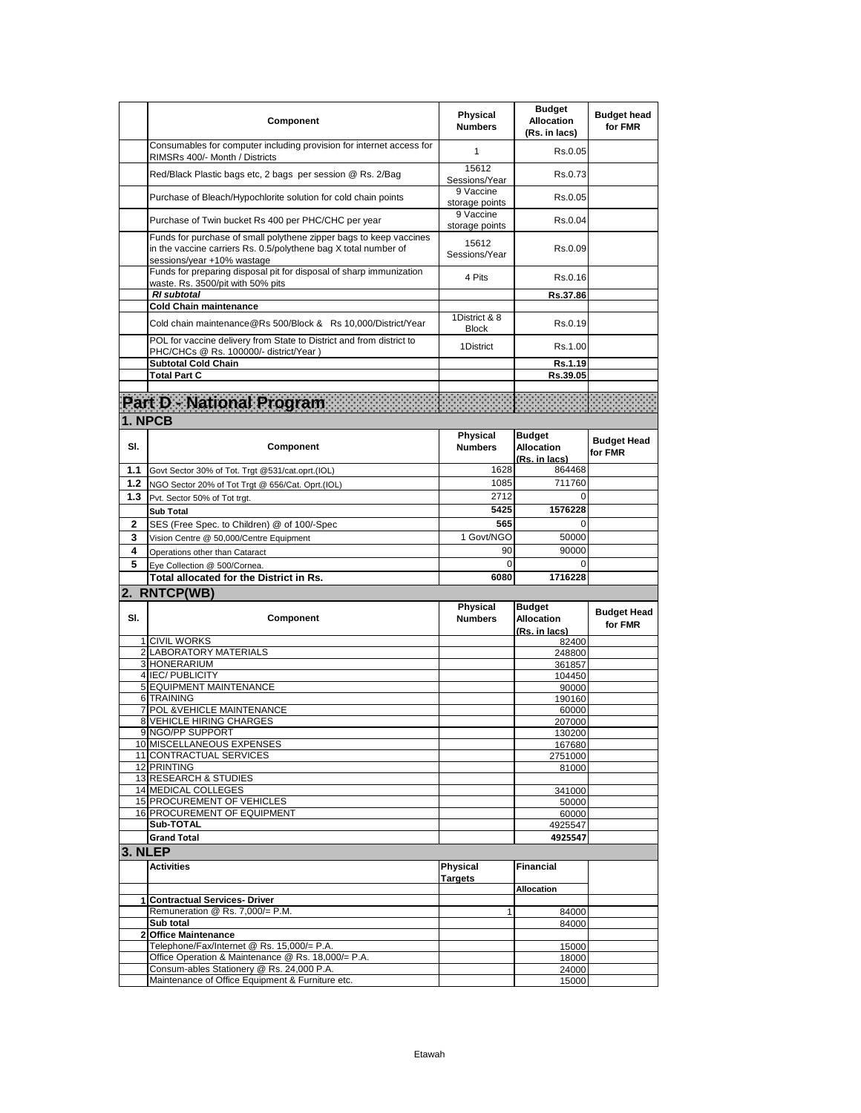|         | Component                                                                                                                                                           | Physical<br><b>Numbers</b>    | <b>Budget</b><br><b>Allocation</b><br>(Rs. in lacs) | <b>Budget head</b><br>for FMR |
|---------|---------------------------------------------------------------------------------------------------------------------------------------------------------------------|-------------------------------|-----------------------------------------------------|-------------------------------|
|         | Consumables for computer including provision for internet access for<br>RIMSRs 400/- Month / Districts                                                              | $\mathbf{1}$                  | Rs.0.05                                             |                               |
|         | Red/Black Plastic bags etc, 2 bags per session @ Rs. 2/Bag                                                                                                          | 15612<br>Sessions/Year        | Rs.0.73                                             |                               |
|         | Purchase of Bleach/Hypochlorite solution for cold chain points                                                                                                      | 9 Vaccine<br>storage points   | Rs.0.05                                             |                               |
|         | Purchase of Twin bucket Rs 400 per PHC/CHC per year                                                                                                                 | 9 Vaccine<br>storage points   | Rs.0.04                                             |                               |
|         | Funds for purchase of small polythene zipper bags to keep vaccines<br>in the vaccine carriers Rs. 0.5/polythene bag X total number of<br>sessions/year +10% wastage | 15612<br>Sessions/Year        | Rs.0.09                                             |                               |
|         | Funds for preparing disposal pit for disposal of sharp immunization<br>waste. Rs. 3500/pit with 50% pits                                                            | 4 Pits                        | Rs.0.16                                             |                               |
|         | <b>RI</b> subtotal                                                                                                                                                  |                               | Rs.37.86                                            |                               |
|         | <b>Cold Chain maintenance</b>                                                                                                                                       |                               |                                                     |                               |
|         | Cold chain maintenance@Rs 500/Block & Rs 10,000/District/Year                                                                                                       | 1District & 8<br><b>Block</b> | Rs.0.19                                             |                               |
|         | POL for vaccine delivery from State to District and from district to<br>PHC/CHCs @ Rs. 100000/- district/Year)                                                      | 1District                     | Rs.1.00                                             |                               |
|         | <b>Subtotal Cold Chain</b>                                                                                                                                          |                               | Rs.1.19                                             |                               |
|         | <b>Total Part C</b>                                                                                                                                                 |                               | Rs.39.05                                            |                               |
|         |                                                                                                                                                                     |                               |                                                     |                               |
|         | Part D - National Program                                                                                                                                           |                               |                                                     |                               |
|         | 1. NPCB                                                                                                                                                             |                               |                                                     |                               |
| SI.     | Component                                                                                                                                                           | Physical<br><b>Numbers</b>    | <b>Budget</b><br><b>Allocation</b>                  | <b>Budget Head</b><br>for FMR |
|         |                                                                                                                                                                     |                               | (Rs. in lacs)                                       |                               |
| 1.1     | Govt Sector 30% of Tot. Trgt @531/cat.oprt.(IOL)                                                                                                                    | 1628                          | 864468                                              |                               |
| 1.2     | NGO Sector 20% of Tot Trgt @ 656/Cat. Oprt.(IOL)                                                                                                                    | 1085                          | 711760                                              |                               |
| 1.3     | Pvt. Sector 50% of Tot trgt.                                                                                                                                        | 2712<br>5425                  | $\Omega$<br>1576228                                 |                               |
|         | <b>Sub Total</b>                                                                                                                                                    |                               |                                                     |                               |
| 2       | SES (Free Spec. to Children) @ of 100/-Spec                                                                                                                         | 565<br>1 Govt/NGO             | 0<br>50000                                          |                               |
| 3       | Vision Centre @ 50,000/Centre Equipment                                                                                                                             |                               |                                                     |                               |
| 4       | Operations other than Cataract                                                                                                                                      | 90                            | 90000                                               |                               |
| 5       | Eye Collection @ 500/Cornea.                                                                                                                                        | 0<br>6080                     | $\Omega$                                            |                               |
|         | Total allocated for the District in Rs.                                                                                                                             |                               | 1716228                                             |                               |
|         | 2. RNTCP(WB)                                                                                                                                                        |                               |                                                     |                               |
| SI.     | Component                                                                                                                                                           | Physical<br><b>Numbers</b>    | <b>Budget</b><br><b>Allocation</b><br>(Rs. in lacs) | <b>Budget Head</b><br>for FMR |
|         | 1 CIVIL WORKS                                                                                                                                                       |                               | 82400                                               |                               |
|         | 2 LABORATORY MATERIALS                                                                                                                                              |                               | 248800                                              |                               |
|         | 3 HONERARIUM                                                                                                                                                        |                               | 361857                                              |                               |
|         | 4 IEC/ PUBLICITY                                                                                                                                                    |                               | 104450                                              |                               |
|         | 5 EQUIPMENT MAINTENANCE<br><b>6 TRAINING</b>                                                                                                                        |                               | 90000<br>190160                                     |                               |
|         | 7 POL & VEHICLE MAINTENANCE                                                                                                                                         |                               | 60000                                               |                               |
|         | <b>8 VEHICLE HIRING CHARGES</b>                                                                                                                                     |                               | 207000                                              |                               |
|         | 9 NGO/PP SUPPORT                                                                                                                                                    |                               | 130200                                              |                               |
|         | 10 MISCELLANEOUS EXPENSES                                                                                                                                           |                               | 167680                                              |                               |
|         | 11 CONTRACTUAL SERVICES<br>12 PRINTING                                                                                                                              |                               | 2751000<br>81000                                    |                               |
|         | 13 RESEARCH & STUDIES                                                                                                                                               |                               |                                                     |                               |
|         | 14 MEDICAL COLLEGES                                                                                                                                                 |                               | 341000                                              |                               |
|         | 15 PROCUREMENT OF VEHICLES                                                                                                                                          |                               | 50000                                               |                               |
|         |                                                                                                                                                                     |                               |                                                     |                               |
|         | 16 PROCUREMENT OF EQUIPMENT                                                                                                                                         |                               | 60000                                               |                               |
|         | Sub-TOTAL                                                                                                                                                           |                               | 4925547                                             |                               |
|         | <b>Grand Total</b>                                                                                                                                                  |                               | 4925547                                             |                               |
|         |                                                                                                                                                                     |                               |                                                     |                               |
|         | <b>Activities</b>                                                                                                                                                   | Physical<br><b>Targets</b>    | <b>Financial</b>                                    |                               |
|         |                                                                                                                                                                     |                               | <b>Allocation</b>                                   |                               |
|         | 1 Contractual Services- Driver                                                                                                                                      |                               |                                                     |                               |
|         | Remuneration @ Rs. 7,000/= P.M.<br>Sub total                                                                                                                        |                               | 84000                                               |                               |
|         | 2 Office Maintenance                                                                                                                                                |                               | 84000                                               |                               |
|         | Telephone/Fax/Internet @ Rs. 15,000/= P.A.                                                                                                                          |                               | 15000                                               |                               |
|         | Office Operation & Maintenance @ Rs. 18,000/= P.A.                                                                                                                  |                               | 18000                                               |                               |
| 3. NLEP | Consum-ables Stationery @ Rs. 24,000 P.A.<br>Maintenance of Office Equipment & Furniture etc.                                                                       |                               | 24000<br>15000                                      |                               |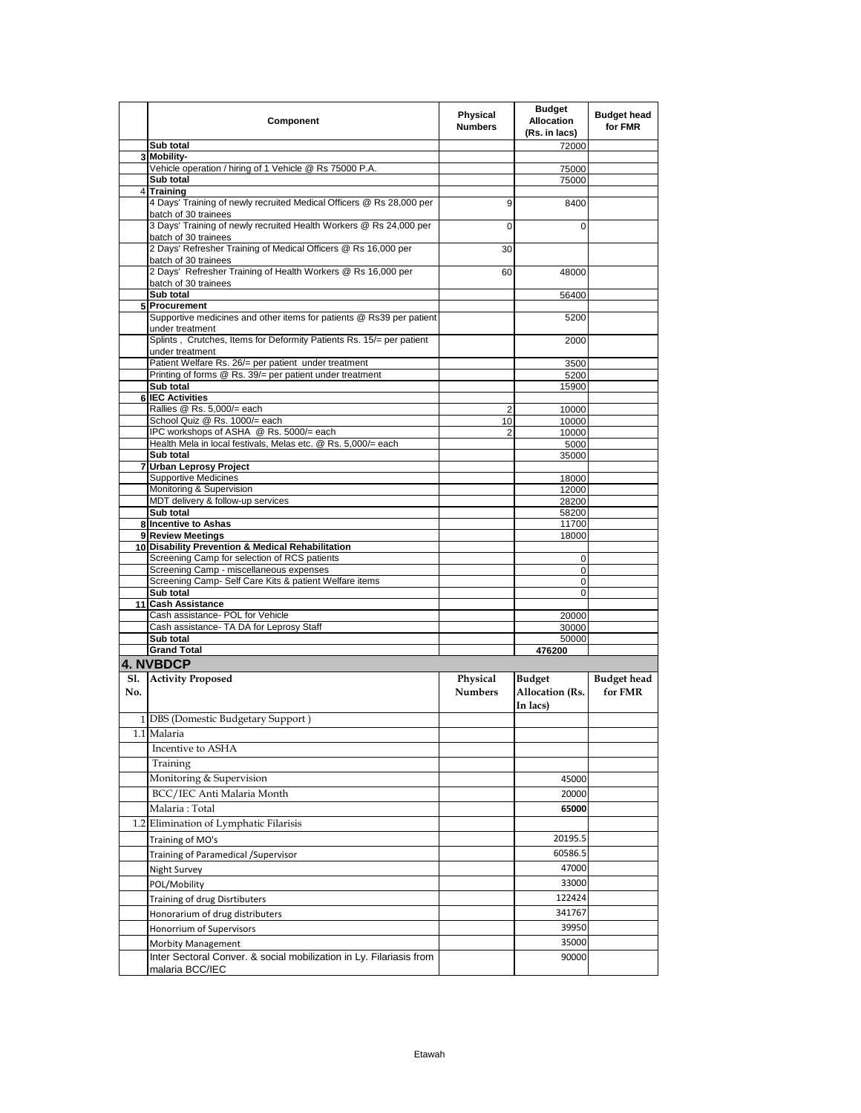|     | Component                                                                                    | Physical<br><b>Numbers</b> | <b>Budget</b><br><b>Allocation</b><br>(Rs. in lacs) | <b>Budget head</b><br>for FMR |
|-----|----------------------------------------------------------------------------------------------|----------------------------|-----------------------------------------------------|-------------------------------|
|     | Sub total                                                                                    |                            | 72000                                               |                               |
|     | 3 Mobility-<br>Vehicle operation / hiring of 1 Vehicle @ Rs 75000 P.A.                       |                            |                                                     |                               |
|     | Sub total                                                                                    |                            | 75000<br>75000                                      |                               |
|     | 4 Training                                                                                   |                            |                                                     |                               |
|     | 4 Days' Training of newly recruited Medical Officers @ Rs 28,000 per<br>batch of 30 trainees | 9                          | 8400                                                |                               |
|     | 3 Days' Training of newly recruited Health Workers @ Rs 24,000 per<br>batch of 30 trainees   | $\Omega$                   | 0                                                   |                               |
|     | 2 Days' Refresher Training of Medical Officers @ Rs 16,000 per<br>batch of 30 trainees       | 30                         |                                                     |                               |
|     | 2 Days' Refresher Training of Health Workers @ Rs 16,000 per<br>batch of 30 trainees         | 60                         | 48000                                               |                               |
|     | Sub total                                                                                    |                            | 56400                                               |                               |
|     | 5 Procurement                                                                                |                            |                                                     |                               |
|     | Supportive medicines and other items for patients @ Rs39 per patient<br>under treatment      |                            | 5200                                                |                               |
|     | Splints, Crutches, Items for Deformity Patients Rs. 15/= per patient<br>under treatment      |                            | 2000                                                |                               |
|     | Patient Welfare Rs. 26/= per patient under treatment                                         |                            | 3500                                                |                               |
|     | Printing of forms @ Rs. 39/= per patient under treatment                                     |                            | 5200                                                |                               |
|     | Sub total                                                                                    |                            | 15900                                               |                               |
|     | <b>6 IEC Activities</b>                                                                      |                            |                                                     |                               |
|     | Rallies @ Rs. 5,000/= each<br>School Quiz @ Rs. 1000/= each                                  | 2<br>10                    | 10000<br>10000                                      |                               |
|     | IPC workshops of ASHA @ Rs. 5000/= each                                                      | $\overline{2}$             | 10000                                               |                               |
|     | Health Mela in local festivals, Melas etc. @ Rs. 5,000/= each                                |                            | 5000                                                |                               |
|     | Sub total                                                                                    |                            | 35000                                               |                               |
|     | 7 Urban Leprosy Project                                                                      |                            |                                                     |                               |
|     | <b>Supportive Medicines</b><br>Monitoring & Supervision                                      |                            | 18000<br>12000                                      |                               |
|     | MDT delivery & follow-up services                                                            |                            | 28200                                               |                               |
|     | Sub total                                                                                    |                            | 58200                                               |                               |
|     | 8 Incentive to Ashas                                                                         |                            | 11700                                               |                               |
|     | 9 Review Meetings                                                                            |                            | 18000                                               |                               |
|     | 10 Disability Prevention & Medical Rehabilitation                                            |                            |                                                     |                               |
|     | Screening Camp for selection of RCS patients<br>Screening Camp - miscellaneous expenses      |                            | 0<br>0                                              |                               |
|     | Screening Camp- Self Care Kits & patient Welfare items                                       |                            | 0                                                   |                               |
|     | Sub total                                                                                    |                            | $\mathbf 0$                                         |                               |
|     | 11 Cash Assistance                                                                           |                            |                                                     |                               |
|     | Cash assistance- POL for Vehicle                                                             |                            | 20000                                               |                               |
|     | Cash assistance- TA DA for Leprosy Staff<br>Sub total                                        |                            | 30000<br>50000                                      |                               |
|     | <b>Grand Total</b>                                                                           |                            | 476200                                              |                               |
|     | <b>4. NVBDCP</b>                                                                             |                            |                                                     |                               |
| Sl. | <b>Activity Proposed</b>                                                                     | Physical                   | <b>Budget</b>                                       | <b>Budget</b> head            |
| No. |                                                                                              | <b>Numbers</b>             | Allocation (Rs.<br>In lacs)                         | for FMR                       |
|     | 1 DBS (Domestic Budgetary Support)                                                           |                            |                                                     |                               |
|     | 1.1 Malaria                                                                                  |                            |                                                     |                               |
|     | Incentive to ASHA                                                                            |                            |                                                     |                               |
|     | Training                                                                                     |                            |                                                     |                               |
|     | Monitoring & Supervision                                                                     |                            | 45000                                               |                               |
|     | BCC/IEC Anti Malaria Month                                                                   |                            | 20000                                               |                               |
|     | Malaria: Total                                                                               |                            | 65000                                               |                               |
|     | 1.2 Elimination of Lymphatic Filarisis                                                       |                            |                                                     |                               |
|     | Training of MO's                                                                             |                            | 20195.5                                             |                               |
|     | Training of Paramedical / Supervisor                                                         |                            | 60586.5                                             |                               |
|     | <b>Night Survey</b>                                                                          |                            | 47000                                               |                               |
|     | POL/Mobility                                                                                 |                            | 33000                                               |                               |
|     | Training of drug Disrtibuters                                                                |                            | 122424                                              |                               |
|     | Honorarium of drug distributers                                                              |                            | 341767                                              |                               |
|     |                                                                                              |                            | 39950                                               |                               |
|     | Honorrium of Supervisors                                                                     |                            | 35000                                               |                               |
|     | Morbity Management                                                                           |                            |                                                     |                               |
|     | Inter Sectoral Conver. & social mobilization in Ly. Filariasis from<br>malaria BCC/IEC       |                            | 90000                                               |                               |